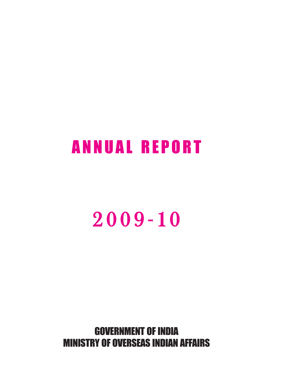# ANNUAL REPORT

# **2009-10**

GOVERNMENT OF INDIA MINISTRY OF OVERSEAS INDIAN AFFAIRS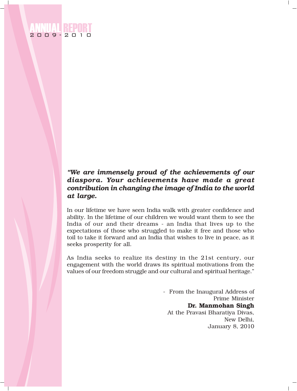### *"We are immensely proud of the achievements of our diaspora. Your achievements have made a great contribution in changing the image of India to the world at large.*

In our lifetime we have seen India walk with greater confidence and ability. In the lifetime of our children we would want them to see the India of our and their dreams - an India that lives up to the expectations of those who struggled to make it free and those who toil to take it forward and an India that wishes to live in peace, as it seeks prosperity for all.

As India seeks to realize its destiny in the 21st century, our engagement with the world draws its spiritual motivations from the values of our freedom struggle and our cultural and spiritual heritage."

> - From the Inaugural Address of Prime Minister **Dr. Manmohan Singh** At the Pravasi Bharatiya Divas, New Delhi, January 8, 2010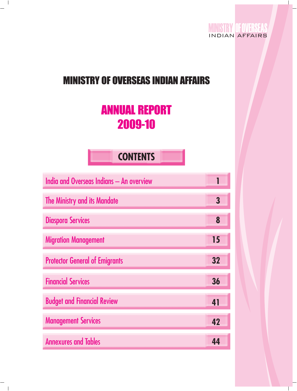

# MINISTRY OF OVERSEAS INDIAN AFFAIRS

 $\mathcal{A}$ 

 $\sim 10$ 

# ANNUAL REPORT 2009-10

**CONTENTS** 

| India and Overseas Indians - An overview |                         |
|------------------------------------------|-------------------------|
| The Ministry and its Mandate             | $\overline{\mathbf{3}}$ |
| <b>Diaspora Services</b>                 | 8                       |
| <b>Migration Management</b>              | 15                      |
| <b>Protector General of Emigrants</b>    | 32                      |
| <b>Financial Services</b>                | 36                      |
| <b>Budget and Financial Review</b>       | 41                      |
| <b>Management Services</b>               | 42                      |
| <b>Annexures and Tables</b>              | 44                      |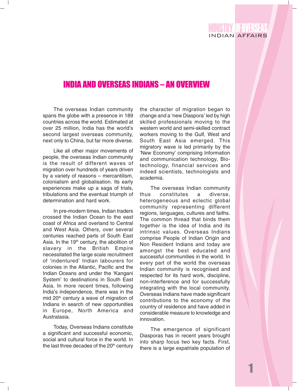

### INDIA AND OVERSEAS INDIANS – AN OVERVIEW

The overseas Indian community spans the globe with a presence in 189 countries across the world. Estimated at over 25 million, India has the world's second largest overseas community, next only to China, but far more diverse.

Like all other major movements of people, the overseas Indian community is the result of different waves of migration over hundreds of years driven by a variety of reasons – mercantilism, colonialism and globalisation. Its early experiences make up a saga of trials, tribulations and the eventual triumph of determination and hard work.

In pre-modern times, Indian traders crossed the Indian Ocean to the east coast of Africa and overland to Central and West Asia. Others, over several centuries reached parts of South East Asia. In the  $19<sup>th</sup>$  century, the abolition of slavery in the British Empire necessitated the large scale recruitment of 'indentured' Indian labourers for colonies in the Atlantic, Pacific and the Indian Oceans and under the 'Kangani System' to destinations in South East Asia. In more recent times, following India's independence, there was in the mid 20<sup>th</sup> century a wave of migration of Indians in search of new opportunities in Europe, North America and Australasia.

Today, Overseas Indians constitute a significant and successful economic, social and cultural force in the world. In the last three decades of the  $20<sup>th</sup>$  century

the character of migration began to change and a 'new Diaspora' led by high skilled professionals moving to the western world and semi-skilled contract workers moving to the Gulf, West and South East Asia emerged. This migratory wave is led primarily by the 'New Economy' comprising Information and communication technology, Biotechnology, financial services and indeed scientists, technologists and academia.

The overseas Indian community thus constitutes a diverse, heterogeneous and eclectic global community representing different regions, languages, cultures and faiths. The common thread that binds them together is the idea of India and its intrinsic values. Overseas Indians comprise People of Indian Origin and Non Resident Indians and today are amongst the best educated and successful communities in the world. In every part of the world the overseas Indian community is recognised and respected for its hard work, discipline, non-interference and for successfully integrating with the local community. Overseas Indians have made significant contributions to the economy of the country of residence and have added in considerable measure to knowledge and innovation.

The emergence of significant Diasporas has in recent years brought into sharp focus two key facts. First, there is a large expatriate population of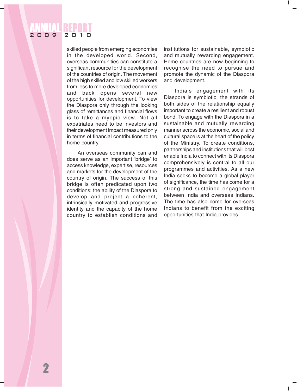2

skilled people from emerging economies in the developed world. Second, overseas communities can constitute a significant resource for the development of the countries of origin. The movement of the high skilled and low skilled workers from less to more developed economies and back opens several new opportunities for development. To view the Diaspora only through the looking glass of remittances and financial flows is to take a myopic view. Not all expatriates need to be investors and their development impact measured only in terms of financial contributions to the home country.

An overseas community can and does serve as an important 'bridge' to access knowledge, expertise, resources and markets for the development of the country of origin. The success of this bridge is often predicated upon two conditions: the ability of the Diaspora to develop and project a coherent, intrinsically motivated and progressive identity and the capacity of the home country to establish conditions and institutions for sustainable, symbiotic and mutually rewarding engagement. Home countries are now beginning to recognise the need to pursue and promote the dynamic of the Diaspora and development.

India's engagement with its Diaspora is symbiotic, the strands of both sides of the relationship equally important to create a resilient and robust bond. To engage with the Diaspora in a sustainable and mutually rewarding manner across the economic, social and cultural space is at the heart of the policy of the Ministry. To create conditions, partnerships and institutions that will best enable India to connect with its Diaspora comprehensively is central to all our programmes and activities. As a new India seeks to become a global player of significance, the time has come for a strong and sustained engagement between India and overseas Indians. The time has also come for overseas Indians to benefit from the exciting opportunities that India provides.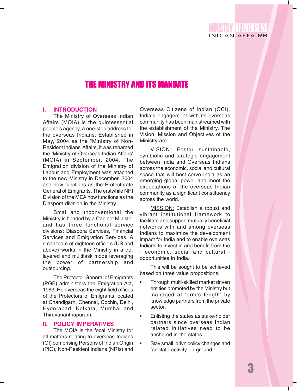

### THE MINISTRY AND ITS MANDATE

#### **I. INTRODUCTION**

The Ministry of Overseas Indian Affairs (MOIA) is the quintessential people's agency, a one-stop address for the overseas Indians. Established in May, 2004 as the "Ministry of Non-Resident Indians' Affairs, it was renamed the 'Ministry of Overseas Indian Affairs' (MOIA) in September, 2004. The Emigration division of the Ministry of Labour and Employment was attached to the new Ministry in December, 2004 and now functions as the Protectorate General of Emigrants. The erstwhile NRI Division of the MEA now functions as the Diaspora division in the Ministry.

Small and unconventional, the Ministry is headed by a Cabinet Minister and has three functional service divisions: Diaspora Services, Financial Services and Emigration Services. A small team of eighteen officers (US and above) works in the Ministry in a delayered and multitask mode leveraging the power of partnership and outsourcing.

The Protector General of Emigrants (PGE) administers the Emigration Act, 1983. He overseas the eight field offices of the Protectors of Emigrants located at Chandigarh, Chennai, Cochin, Delhi, Hyderabad, Kolkata, Mumbai and Thiruvananthapuram.

#### **II. POLICY IMPERATIVES**

The MOIA is the focal Ministry for all matters relating to overseas Indians (OI) comprising Persons of Indian Origin (PIO), Non-Resident Indians (NRIs) and

Overseas Citizens of Indian (OCI). India's engagement with its overseas community has been mainstreamed with the establishment of the Ministry. The Vision, Mission and Objectives of the Ministry are:

VISION: Foster sustainable, symbiotic and strategic engagement between India and Overseas Indians across the economic, social and cultural space that will best serve India as an emerging global power and meet the expectations of the overseas Indian community as a significant constituency across the world.

MISSION: Establish a robust and vibrant institutional framework to facilitate and support mutually beneficial networks with and among overseas Indians to maximize the development impact for India and to enable overseas Indians to invest in and benefit from the - economic, social and cultural opportunities in India.

This will be sought to be achieved based on three value propositions:

- Through multi-skilled market driven entities promoted by the Ministry but managed at 'arm's length' by knowledge partners from the private sector.
- Enlisting the states as stake-holder partners since overseas Indian related initiatives need to be anchored in the states.
	- Stay small, drive policy changes and facilitate activity on ground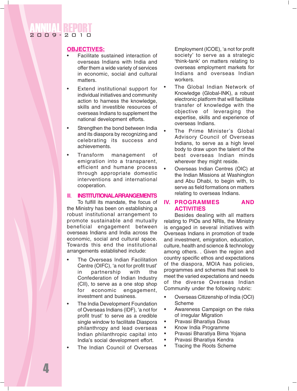

#### **OBJECTIVES:**

- Facilitate sustained interaction of overseas Indians with India and offer them a wide variety of services in economic, social and cultural matters.
- Extend institutional support for individual initiatives and community action to harness the knowledge, skills and investible resources of overseas Indians to supplement the national development efforts.
- Strengthen the bond between India and its diaspora by recognizing and celebrating its success and achievements.
- Transform management of emigration into a transparent, efficient and humane process through appropriate domestic interventions and international cooperation.

#### III. **INSTITUTIONAL ARRANGEMENTS**

To fulfill its mandate, the focus of the Ministry has been on establishing a robust institutional arrangement to promote sustainable and mutually beneficial engagement between overseas Indians and India across the economic, social and cultural space. Towards this end the institutional arrangements established include:

- The Overseas Indian Facilitation Centre (OIFC), 'a not for profit trust' in partnership with the Confederation of Indian Industry (CII), to serve as a one stop shop for economic engagement, investment and business.
- The India Development Foundation of Overseas Indians (IDF), 'a not for profit trust' to serve as a credible single window to facilitate Diaspora philanthropy and lead overseas Indian philanthropic capital into India's social development effort.
- The Indian Council of Overseas

Employment (ICOE), 'a not for profit society' to serve as a strategic 'think-tank' on matters relating to overseas employment markets for Indians and overseas Indian workers.

- The Global Indian Network of Knowledge (Global-INK), a robust electronic platform that will facilitate transfer of knowledge with the objective of leveraging the expertise, skills and experience of overseas Indians.
- The Prime Minister's Global Advisory Council of Overseas Indians, to serve as a high level body to draw upon the talent of the best overseas Indian minds wherever they might reside.
- Overseas Indian Centres (OIC) at the Indian Missions at Washington and Abu Dhabi, to begin with, to serve as field formations on matters relating to overseas Indians.

#### **IV. PROGRAMMES AND ACTIVITIES**

Besides dealing with all matters relating to PIOs and NRIs, the Ministry is engaged in several initiatives with Overseas Indians in promotion of trade and investment, emigration, education, culture, health and science & technology among others. . Given the region and country specific ethos and expectations of the diaspora, MOIA has policies, programmes and schemes that seek to meet the varied expectations and needs of the diverse Overseas Indian Community under the following rubric:

- Overseas Citizenship of India (OCI) Scheme
- **Awareness Campaign on the risks** of irregular Migration
- Pravasi Bharatiya Divas
- Know India Programme
- Pravasi Bharatiya Bima Yojana
- Pravasi Bharatiya Kendra
- Tracing the Roots Scheme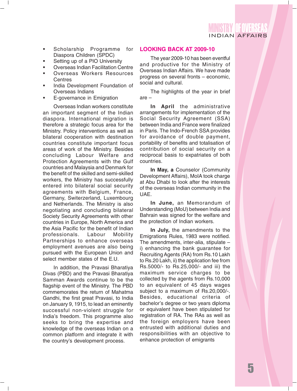

- **Scholarship Programme for** Diaspora Children (SPDC)
- Setting up of a PIO University
- Overseas Indian Facilitation Centre
- Overseas Workers Resources **Centres**
- India Development Foundation of Overseas Indians
- E-governance in Emigration

Overseas Indian workers constitute an important segment of the Indian diaspora. International migration is therefore a strategic focus area for the Ministry. Policy interventions as well as bilateral cooperation with destination countries constitute important focus areas of work of the Ministry. Besides concluding Labour Welfare and Protection Agreements with the Gulf countries and Malaysia and Denmark for the benefit of the skilled and semi-skilled workers, the Ministry has successfully entered into bilateral social security agreements with Belgium, France, Germany, Switerzerland, Luxembourg and Netherlands. The Ministry is also negotiating and concluding bilateral Society Security Agreements with other countries in Europe, North America and the Asia Pacific for the benefit of Indian professionals. Labour Mobility Partnerships to enhance overseas employment avenues are also being pursued with the European Union and select member states of the E.U.

In addition, the Pravasi Bharatiya Divas (PBD) and the Pravasi Bharatiya Samman Awards continue to be the flagship event of the Ministry. The PBD commemorates the return of Mahatma Gandhi, the first great Pravasi, to India on January 9, 1915, to lead an eminently successful non-violent struggle for India's freedom. This programme also seeks to bring the expertise and knowledge of the overseas Indian on a common platform and integrate it with the country's development process.

#### **LOOKING BACK AT 2009-10**

The year 2009-10 has been eventful and productive for the Ministry of Overseas Indian Affairs. We have made progress on several fronts – economic, social and cultural.

The highlights of the year in brief are –

**In April** the administrative arrangements for implementation of the Social Security Agreement (SSA) between India and France were finalized in Paris. The Indo-French SSA provides for avoidance of double payment, portability of benefits and totalisation of contribution of social security on a reciprocal basis to expatriates of both countries.

**In May, a** Counselor (Community Development Affairs), MoIA took charge at Abu Dhabi to look after the interests of the overseas Indian community in the UAE.

**In June,** an Memorandum of Understanding (MoU) between India and Bahrain was signed for the welfare and the protection of Indian workers.

**In July,** the amendments to the Emigrations Rules, 1983 were notified. The amendments, inter-alia, stipulate – i) enhancing the bank guarantee for Recruiting Agents (RA) from Rs.10 Lakh to Rs.20 Lakh, ii) the application fee from Rs.5000/- to Rs.25,000/- and iii) the maximum service charges to be collected by the agents from Rs.10,000 to an equivalent of 45 days wages subject to a maximum of Rs.20,000/-. Besides, educational criteria of bachelor's degree or two years diploma or equivalent have been stipulated for registration of RA. The RAs as well as the foreign employers have been entrusted with additional duties and responsibilities with an objective to enhance protection of emigrants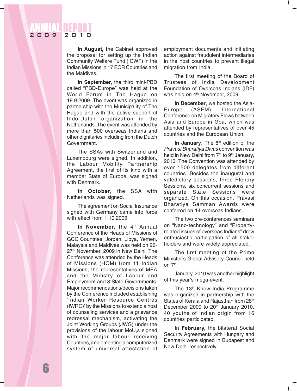**In August, t**he Cabinet approved the proposal for setting up the Indian Community Welfare Fund (ICWF) in the Indian Missions in 17 ECR Countries and the Maldives.

**In September,** the third mini-PBD called "PBD-Europe" was held at the World Forum in The Hague on 19.9.2009. The event was organized in partnership with the Municipality of The Hague and with the active support of Indo-Dutch organization in the Netherlands. The event was attended by more than 500 overseas Indians and other dignitaries including from the Dutch Government.

The SSAs with Switzerland and Luxembourg were signed. In addition, the Labour Mobility Partnership Agreement, the first of its kind with a member State of Europe, was signed with Denmark.

**In October,** the SSA with Netherlands was signed.

The agreement on Social Insurance signed with Germany came into force with effect from 1.10.2009.

In November, the 4<sup>th</sup> Annual Conference of the Heads of Missions of GCC Countries, Jordan, Libya, Yemen, Malaysia and Maldives was held on 26- 27<sup>th</sup> November, 2009 in New Delhi. The Conference was attended by the Heads of Missions (HOM) from 11 Indian Missions, the representatives of MEA and the Ministry of Labour and Employment and 8 State Governments. Major recommendations/decisions taken by the Conference included establishing 'Indian Worker Resource Centres (IWRC)' by the Missions to extend a host of counseling services and a grievance redressal mechanism, activating the Joint Working Groups (JWG) under the provisions of the labour MoU,s signed with the major labour receiving Countries, implementing a computerized system of universal attestation of

employment documents and initiating action against fraudulent intermediaries in the host countries to prevent illegal migration from India.

The first meeting of the Board of Trustees of India Development Foundation of Overseas Indians (IDF) was held on 4<sup>th</sup> November, 2009.

**In December**, we hosted the Asia-Europe (ASEM), International Conference on Migratory Flows between Asia and Europe in Goa, which was attended by representatives of over 45 countries and the European Union.

**In January**, The 8<sup>th</sup> edition of the Pravasi Bharatiya Divas convention was held in New Delhi from  $7<sup>th</sup>$  to  $9<sup>th</sup>$  January, 2010. The Convention was attended by over 1500 delegates from different countries. Besides the inaugural and valedictory sessions, three Plenary Sessions, six concurrent sessions and separate State Sessions were organized. On this occasion, Pravasi Bharatiya Samman Awards were conferred on 14 overseas Indians.

The two pre-conferences seminars on "Nano-technology" and "Propertyrelated issues of overseas Indians" drew enthusiastic participation of all stakeholders and were widely appreciated.

The first meeting of the Prime Minister's Global Advisory Council held on 7th

January, 2010 was another highlight of this year's mega-event.

The 13<sup>th</sup> Know India Programme was organized in partnership with the States of Kerala and Rajasthan from 28th December 2009 to 20<sup>th</sup> January 2010. 40 youths of Indian origin from 16 countries participated.

In **February,** the bilateral Social Security Agreements with Hungary and Denmark were signed in Budapest and New Delhi respectively.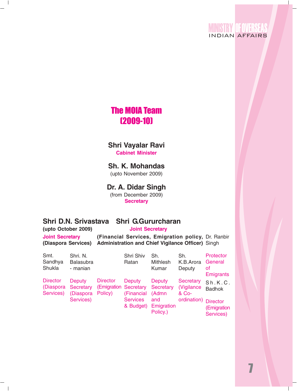# The MOIA Team (2009-10)

#### **Shri Vayalar Ravi Cabinet Minister**

### **Sh. K. Mohandas**

(upto November 2009)

### **Dr. A. Didar Singh**

(from December 2009) **Secretary**

### **Shri G.Gururcharan Shri D.N. Srivastava**

**(upto October 2009)**

 $\overline{1}$ 

#### **Joint Secretary**

**Joint Secretary (Diaspora Services) Administration and Chief Vigilance Officer)** Singh **(Financial Services, Emigration policy,** Dr. Ranbir

| Smt.<br>Sandhya<br>Shukla                 | Shri. N.<br><b>Balasubra</b><br>- manian |                                                     | Shri Shiv<br>Ratan           | Sh.<br><b>Mithlesh</b><br>Kumar     | Sh.<br>K.B.Arora<br>Deputy       | Protector<br>General<br>оf<br><b>Emigrants</b> |
|-------------------------------------------|------------------------------------------|-----------------------------------------------------|------------------------------|-------------------------------------|----------------------------------|------------------------------------------------|
| <b>Director</b><br>(Diaspora<br>Services) | Deputy<br>Secretary<br>(Diaspora         | <b>Director</b><br>(Emigration Secretary<br>Policy) | Deputy<br>(Financial         | <b>Deputy</b><br>Secretary<br>(Admn | Secretary<br>(Vigilance<br>& Co- | Sh.K.C.<br><b>Badhok</b>                       |
|                                           | Services)                                |                                                     | <b>Services</b><br>& Budget) | and<br>Emigration<br>Policy.)       | ordination)                      | <b>Director</b><br>(Emigration<br>Services)    |

### MINISTRY OFOVERSEAS INDIAN AFFAIRS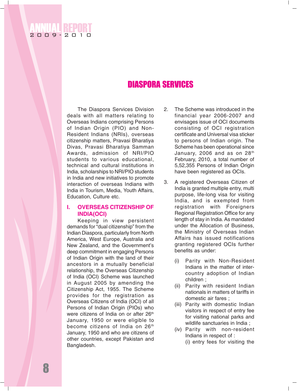8

### DIASPORA SERVICES

The Diaspora Services Division deals with all matters relating to Overseas Indians comprising Persons of Indian Origin (PIO) and Non-Resident Indians (NRIs), overseas citizenship matters, Pravasi Bharatiya Divas, Pravasi Bharatiya Samman Awards, admission of NRI/PIO students to various educational, technical and cultural institutions in India, scholarships to NRI/PIO students in India and new initiatives to promote interaction of overseas Indians with India in Tourism, Media, Youth Affairs, Education, Culture etc.

#### **I. OVERSEAS CITIZENSHIP OF INDIA(OCI)**

Keeping in view persistent demands for "dual citizenship" from the Indian Diaspora, particularly from North America, West Europe, Australia and New Zealand, and the Government's deep commitment in engaging Persons of Indian Origin with the land of their ancestors in a mutually beneficial relationship, the Overseas Citizenship of India (OCI) Scheme was launched in August 2005 by amending the Citizenship Act, 1955. The Scheme provides for the registration as Overseas Citizens of India (OCI) of all Persons of Indian Origin (PIOs) who were citizens of India on or after 26<sup>th</sup> January, 1950 or were eligible to become citizens of India on 26<sup>th</sup> January, 1950 and who are citizens of other countries, except Pakistan and Bangladesh.

- 2. The Scheme was introduced in the financial year 2006-2007 and envisages issue of OCI documents consisting of OCI registration certificate and Universal visa sticker to persons of Indian origin. The Scheme has been operational since January, 2006 and as on 28<sup>th</sup> February, 2010, a total number of 5,52,355 Persons of Indian Origin have been registered as OCIs.
- 3. A registered Overseas Citizen of India is granted multiple entry, multi purpose, life-long visa for visiting India, and is exempted from registration with Foreigners Regional Registration Office for any length of stay in India. As mandated under the Allocation of Business, the Ministry of Overseas Indian Affairs has issued notifications granting registered OCIs further benefits as under:
	- (i) Parity with Non-Resident Indians in the matter of intercountry adoption of Indian children ;
	- (ii) Parity with resident Indian nationals in matters of tariffs in domestic air fares ;
	- (iii) Parity with domestic Indian visitors in respect of entry fee for visiting national parks and wildlife sanctuaries in India ;
	- (iv) Parity with non-resident Indians in respect of : (i) entry fees for visiting the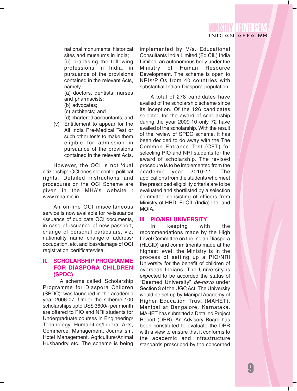### MINISTRY OFOVERSEAS INDIAN AFFAIRS

national monuments, historical sites and museums in India;

(ii) practising the following professions in India, in pursuance of the provisions contained in the relevant Acts, namely :

(a) doctors, dentists, nurses and pharmacists;

(b) advocates;

(c) architects; and

(d) chartered accountants; and

(v) Entitlement to appear for the All India Pre-Medical Test or such other tests to make them eligible for admission in pursuance of the provisions contained in the relevant Acts.

However, the OCI is not 'dual citizenship'. OCI does not confer political rights. Detailed instructions and procedures on the OCI Scheme are given in the MHA's website : www.mha.nic.in.

An on-line OCI miscellaneous service is now available for re-issuance /issuance of duplicate OCI documents, in case of issuance of new passport, change of personal particulars, viz, nationality, name, change of address/ occupation, etc. and loss/damage of OCI registration certificate/visa.

#### **II. SCHOLARSHIP PROGRAMME FOR DIASPORA CHILDREN (SPDC)**

A scheme called 'Scholarship Programme for Diaspora Children (SPDC)' was launched in the academic year 2006-07. Under the scheme 100 scholarships upto US\$ 3600/- per month are offered to PIO and NRI students for Undergraduate courses in Engineering/ Technology, Humanities/Liberal Arts, Commerce, Management, Journalism, Hotel Management, Agriculture/Animal Husbandry etc. The scheme is being

implemented by M/s. Educational Consultants India Limited (Ed.CIL) India Limited, an autonomous body under the Ministry of Human Resource Development. The scheme is open to NRIs/PIOs from 40 countries with substantial Indian Diaspora population.

A total of 278 candidates have availed of the scholarship scheme since its inception. Of the 126 candidates selected for the award of scholarship during the year 2009-10 only 72 have availed of the scholarship. With the result of the review of SPDC scheme, it has been decided to do away with the The Common Entrance Test (CET) for selecting PIO and NRI students for the award of scholarship. The revised procedure is to be implemented from the academic year 2010-11. The applications from the students who meet the prescribed eligibility criteria are to be evaluated and shortlisted by a selection committee consisting of officers from Ministry of HRD, EdCIL (India) Ltd. and MOIA.

#### **III PIO/NRI UNIVERSITY**

In keeping with the recommendations made by the High Level Committee on the Indian Diaspora (HLCID) and commitments made at the highest level, the Ministry is in the process of setting up a PIO/NRI University for the benefit of children of overseas Indians. The University is expected to be accorded the status of "Deemed University" de-novo under Section 3 of the UGC Act. The University would be set up by Manipal Academy of Higher Education Trust (MAHET), Manipal at Bangalore, Karnataka. MAHET has submitted a Detailed Project Report (DPR). An Advisory Board has been constituted to evaluate the DPR with a view to ensure that it conforms to the academic and infrastructure standards prescribed by the concerned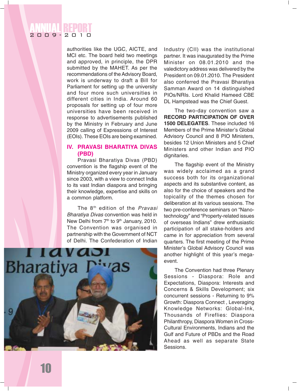authorities like the UGC, AICTE, and MCI etc. The board held two meetings and approved, in principle, the DPR submitted by the MAHET. As per the recommendations of the Advisory Board, work is underway to draft a Bill for Parliament for setting up the university and four more such universities in different cities in India. Around 60 proposals for setting up of four more universities have been received in response to advertisements published by the Ministry in February and June 2009 calling of Expressions of Interest (EOIs). These EOIs are being examined.

#### **IV. PRAVASI BHARATIYA DIVAS (PBD)**

Pravasi Bharatiya Divas (PBD) convention is the flagship event of the Ministry organized every year in January since 2003, with a view to connect India to its vast Indian diaspora and bringing their knowledge, expertise and skills on a common platform.

The 8<sup>th</sup> edition of the *Pravasi* Bharatiya Divas convention was held in New Delhi from 7<sup>th</sup> to 9<sup>th</sup> January, 2010. The Convention was organised in partnership with the Government of NCT of Delhi. The Confederation of Indian



Industry (CII) was the institutional partner. It was inaugurated by the Prime Minister on 08.01.2010 and the valedictory address was delivered by the President on 09.01.2010. The President also conferred the Pravasi Bharatiya Samman Award on 14 distinguished PIOs/NRIs. Lord Khalid Hameed CBE DL Hampstead was the Chief Guest.

The two-day convention saw a **RECORD PARTICIPATION OF OVER 1500 DELEGATES**. These included 16 Members of the Prime Minister's Global Advisory Council and 8 PIO Ministers, besides 12 Union Ministers and 5 Chief Ministers and other Indian and PIO dignitaries.

The flagship event of the Ministry was widely acclaimed as a grand success both for its organizational aspects and its substantive content, as also for the choice of speakers and the topicality of the themes chosen for deliberation at its various sessions. The two pre-conference seminars on "Nanotechnology" and "Property-related issues of overseas Indians" drew enthusiastic participation of all stake-holders and came in for appreciation from several quarters. The first meeting of the Prime Minister's Global Advisory Council was another highlight of this year's megaevent.

The Convention had three Plenary Sessions - Diaspora: Role and Expectations, Diaspora: Interests and Concerns & Skills Development; six concurrent sessions - Returning to 9% Growth: Diaspora Connect , Leveraging Knowledge Networks: Global-Ink, Thousands of Fireflies: Diaspora Philanthropy, Diaspora Women in Cross-Cultural Environments, Indians and the Gulf and Future of PBDs and the Road Ahead as well as separate State Sessions.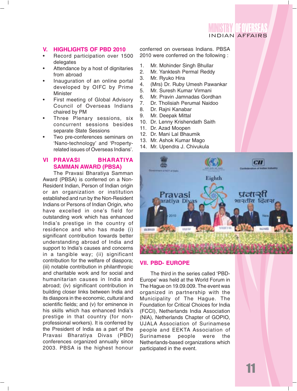

#### **V. HIGHLIGHTS OF PBD 2010**

- Record participation over 1500 delegates
- Attendance by a host of dignitaries from abroad
- Inauguration of an online portal developed by OIFC by Prime **Minister**
- First meeting of Global Advisory Council of Overseas Indians chaired by PM
- Three Plenary sessions, six concurrent sessions besides separate State Sessions
- Two pre-conferences seminars on 'Nano-technology' and 'Propertyrelated issues of Overseas Indians'.

#### **VI PRAVASI BHARATIYA SAMMAN AWARD (PBSA)**

The Pravasi Bharatiya Samman Award (PBSA) is conferred on a Non-Resident Indian, Person of Indian origin or an organization or institution established and run by the Non-Resident Indians or Persons of Indian Origin, who have excelled in one's field for outstanding work which has enhanced India's prestige in the country of residence and who has made (i) significant contribution towards better understanding abroad of India and support to India's causes and concerns in a tangible way; (ii) significant contribution for the welfare of diaspora; (iii) notable contribution in philanthropic and charitable work and for social and humanitarian causes in India and abroad; (iv) significant contribution in building closer links between India and its diaspora in the economic, cultural and scientific fields; and (v) for eminence in his skills which has enhanced India's prestige in that country (for nonprofessional workers). It is conferred by the President of India as a part of the Pravasi Bharatiya Divas (PBD) conferences organized annually since 2003. PBSA is the highest honour

conferred on overseas Indians. PBSA 2010 were conferred on the following :

- 1. Mr. Mohinder Singh Bhullar
- 2. Mr. Yanktesh Permal Reddy
- 3. Mr. Ryuko Hira
- 4. (Mrs) Dr. Ruby Umesh Pawankar
- 5. Mr. Suresh Kumar Virmani
- 6. Mr. Pravin Jamnadas Gordhan
- 7. Dr. Tholisiah Perumal Naidoo
- 8. Dr. Rajni Kanabar
- 9. Mr. Deepak Mittal
- 10. Dr. Lenny Krishendath Saith
- 11. Dr. Azad Moopen
- 12. Dr. Mani Lal Bhaumik
- 13. Mr. Ashok Kumar Mago
- 14. Mr. Upendra J. Chivukula



11

#### **VII. PBD- EUROPE**

The third in the series called 'PBD-Europe' was held at the World Forum in The Hague on 19.09.009. The event was organized in partnership with the Municipality of The Hague. The Foundation for Critical Choices for India (FCCI), Netherlands India Association (NIA), Netherlands Chapter of GOPIO, UJALA Association of Surinamese people and EEKTA Association of Surinamese people were the Netherlands-based organizations which participated in the event.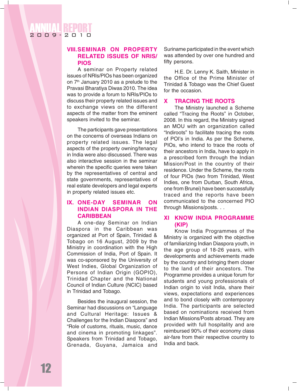#### **VIII.SEMINAR ON PROPERTY RELATED ISSUES OF NRIS/ PIOS**

A seminar on Property related issues of NRIs/PIOs has been organized on 7<sup>th</sup> January 2010 as a prelude to the Pravasi Bharatiya Diwas 2010. The idea was to provide a forum to NRIs/PIOs to discuss their property related issues and to exchange views on the different aspects of the matter from the eminent speakers invited to the seminar.

The participants gave presentations on the concerns of overseas Indians on property related issues. The legal aspects of the property owning/tenancy in India were also discussed. There was also interactive session in the seminar wherein the specific queries were taken by the representatives of central and state governments, representatives of real estate developers and legal experts in property related issues etc.

#### **IX. ONE-DAY SEMINAR ON INDIAN DIASPORA IN THE CARIBBEAN**

A one-day Seminar on Indian Diaspora in the Caribbean was organized at Port of Spain, Trinidad & Tobago on 16 August, 2009 by the Ministry in coordination with the High Commission of India, Port of Spain. It was co-sponsored by the University of West Indies, Global Organization of Persons of Indian Origin (GOPIO), Trinidad Chapter and the National Council of Indian Culture (NCIC) based in Trinidad and Tobago.

Besides the inaugural session, the Seminar had discussions on "Language and Cultural Heritage: Issues & Challenges for the Indian Diaspora" and "Role of customs, rituals, music, dance and cinema in promoting linkages". Speakers from Trinidad and Tobago, Grenada, Guyana, Jamaica and

Suriname participated in the event which was attended by over one hundred and fifty persons.

H.E. Dr. Lenny K. Saith, Minister in the Office of the Prime Minister of Trinidad & Tobago was the Chief Guest for the occasion.

#### **X TRACING THE ROOTS**

The Ministry launched a Scheme called "Tracing the Roots" in October, 2008. In this regard, the Ministry signed an MOU with an organization called "Indiroots" to facilitate tracing the roots of POI's in India. As per the Scheme, PIOs, who intend to trace the roots of their ancestors in India, have to apply in a prescribed form through the Indian Mission/Post in the country of their residence. Under the Scheme, the roots of four PIOs (two from Trinidad, West Indies, one from Durban, South Africa, one from Brunei) have been successfully traced and the reports have been communicated to the concerned PIO through Missions/posts. . .

#### **XI KNOW INDIA PROGRAMME (KIP)**

Know India Programmes of the Ministry is organized with the objective of familiarizing Indian Diaspora youth, in the age group of 18-26 years, with developments and achievements made by the country and bringing them closer to the land of their ancestors. The Programme provides a unique forum for students and young professionals of Indian origin to visit India, share their views, expectations and experiences and to bond closely with contemporary India. The participants are selected based on nominations received from Indian Missions/Posts abroad. They are provided with full hospitality and are reimbursed 90% of their economy class air-fare from their respective country to India and back.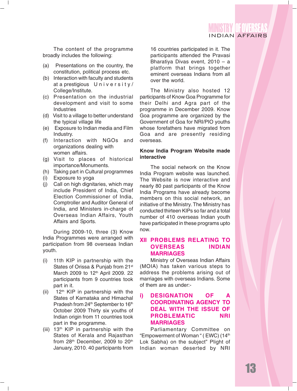### MINISTRY OFOVERSEAS INDIAN AFFAIRS

The content of the programme broadly includes the following:

- (a) Presentations on the country, the constitution, political process etc.
- (b) Interaction with faculty and students at a prestigious University/ College/Institute.
- (c) Presentation on the industrial development and visit to some Industries
- (d) Visit to a village to better understand the typical village life
- (e) Exposure to Indian media and Film Industry.
- (f) Interaction with NGOs and organizations dealing with women affairs.
- (g) Visit to places of historical importance/Monuments.
- (h) Taking part in Cultural programmes
- (i) Exposure to yoga
- (j) Call on high dignitaries, which may include President of India, Chief Election Commissioner of India, Comptroller and Auditor General of India, and Ministers in-charge of Overseas Indian Affairs, Youth Affairs and Sports.

During 2009-10, three (3) Know India Programmes were arranged with participation from 98 overseas Indian youth.

- (i) 11th KIP in partnership with the States of Orissa & Punjab from 21<sup>st</sup> March 2009 to 12<sup>th</sup> April 2009. 22 participants from 9 countries took part in it.
- (ii)  $12<sup>th</sup>$  KIP in partnership with the States of Karnataka and Himachal Pradesh from 24<sup>th</sup> September to 16<sup>th</sup> October 2009 Thirty six youths of Indian origin from 11 countries took part in the programme.
- (iii) 13th KIP in partnership with the States of Kerala and Rajasthan from 28<sup>th</sup> December, 2009 to 20<sup>th</sup> January, 2010. 40 participants from

16 countries participated in it. The participants attended the Pravasi Bharatiya Divas event, 2010 – a platform that brings together eminent overseas Indians from all over the world.

The Ministry also hosted 12 participants of Know Goa Programme for their Delhi and Agra part of the programme in December 2009. Know Goa programme are organized by the Government of Goa for NRI/PIO youths whose forefathers have migrated from Goa and are presently residing overseas.

#### **Know India Program Website made interactive**

The social network on the Know India Program website was launched. The Website is now interactive and nearly 80 past participants of the Know India Programs have already become members on this social network, an initiative of the Ministry. The Ministry has conducted thirteen KIPs so far and a total number of 410 overseas Indian youth have participated in these programs upto now.

#### **XII PROBLEMS RELATING TO OVERSEAS INDIAN MARRIAGES**

Ministry of Overseas Indian Affairs (MOIA) has taken various steps to address the problems arising out of marriages with overseas Indians. Some of them are as under:-

#### **i) DESIGNATION OF A COORDINATING AGENCY TO DEAL WITH THE ISSUE OF PROBLEMATIC NRI MARRIAGES**

Parliamentary Committee on "Empowerment of Woman " (EWC) (14th Lok Sabha) on the subject" Plight of Indian woman deserted by NRI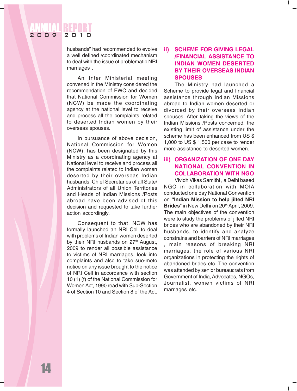husbands" had recommended to evolve a well defined /coordinated mechanism to deal with the issue of problematic NRI marriages .

An Inter Ministerial meeting convened in the Ministry considered the recommendation of EWC and decided that National Commission for Women (NCW) be made the coordinating agency at the national level to receive and process all the complaints related to deserted Indian women by their overseas spouses.

In pursuance of above decision, National Commission for Women (NCW), has been designated by this Ministry as a coordinating agency at National level to receive and process all the complaints related to Indian women deserted by their overseas Indian husbands. Chief Secretaries of all State/ Administrators of all Union Territories and Heads of Indian Missions /Posts abroad have been advised of this decision and requested to take further action accordingly.

Consequent to that, NCW has formally launched an NRI Cell to deal with problems of Indian women deserted by their NRI husbands on 27<sup>th</sup> August, 2009 to render all possible assistance to victims of NRI marriages, look into complaints and also to take suo-moto notice on any issue brought to the notice of NRI Cell in accordance with section 10 (1) (f) of the National Commission for Women Act, 1990 read with Sub-Section 4 of Section 10 and Section 8 of the Act.

#### **ii) SCHEME FOR GIVING LEGAL /FINANCIAL ASSISTANCE TO INDIAN WOMEN DESERTED BY THEIR OVERSEAS INDIAN SPOUSES**

The Ministry had launched a Scheme to provide legal and financial assistance through Indian Missions abroad to Indian women deserted or divorced by their overseas Indian spouses. After taking the views of the Indian Missions /Posts concerned, the existing limit of assistance under the scheme has been enhanced from US \$ 1,000 to US \$ 1,500 per case to render more assistance to deserted women.

#### **iii) ORGANIZATION OF ONE DAY NATIONAL CONVENTION IN COLLABORATION WITH NGO**

Vividh Vikas Samithi , a Delhi based NGO in collaboration with MOIA conducted one day National Convention on **"Indian Mission to help jilted NRI Brides**" in New Delhi on 20<sup>th</sup> April, 2009. The main objectives of the convention were to study the problems of jilted NRI brides who are abandoned by their NRI husbands, to identify and analyze constrains and barriers of NRI marriages main reasons of breaking NRI marriages, the role of various NRI organizations in protecting the rights of abandoned brides etc. The convention was attended by senior bureaucrats from Government of India, Advocates, NGOs, Journalist, women victims of NRI marriages etc.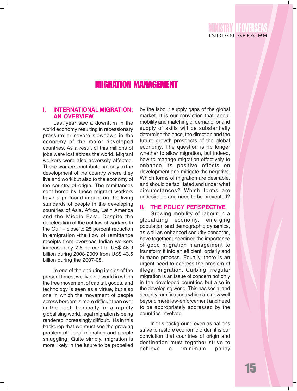

### MIGRATION MANAGEMENT

#### **I. INTERNATIONAL MIGRATION: AN OVERVIEW**

Last year saw a downturn in the world economy resulting in recessionary pressure or severe slowdown in the economy of the major developed countries. As a result of this millions of jobs were lost across the world. Migrant workers were also adversely affected. These workers contribute not only to the development of the country where they live and work but also to the economy of the country of origin. The remittances sent home by these migrant workers have a profound impact on the living standards of people in the developing countries of Asia, Africa, Latin America and the Middle East. Despite the deceleration of the outflow of workers to the Gulf – close to 25 percent reduction in emigration -the flow of remittance receipts from overseas Indian workers increased by 7.8 percent to US\$ 46.9 billion during 2008-2009 from US\$ 43.5 billion during the 2007-08.

In one of the enduring ironies of the present times, we live in a world in which the free movement of capital, goods, and technology is seen as a virtue, but also one in which the movement of people across borders is more difficult than ever in the past. Ironically, in a rapidly globalising world, legal migration is being rendered increasingly difficult. It is in this backdrop that we must see the growing problem of illegal migration and people smuggling. Quite simply, migration is more likely in the future to be propelled by the labour supply gaps of the global market. It is our conviction that labour mobility and matching of demand for and supply of skills will be substantially determine the pace, the direction and the future growth prospects of the global economy. The question is no longer whether to allow migration, but indeed, how to manage migration effectively to enhance its positive effects on development and mitigate the negative. Which forms of migration are desirable, and should be facilitated and under what circumstances? Which forms are undesirable and need to be prevented?

#### **II. THE POLICY PERSPECTIVE**

Growing mobility of labour in a globalizing economy, emerging population and demographic dynamics, as well as enhanced security concerns, have together underlined the importance of good migration management to transform it into an efficient, orderly and humane process. Equally, there is an urgent need to address the problem of illegal migration. Curbing irregular migration is an issue of concern not only in the developed countries but also in the developing world. This has social and security ramifications which are now well beyond mere law-enforcement and need to be appropriately addressed by the countries involved.

In this background even as nations strive to restore economic order, it is our conviction that countries of origin and destination must together strive to achieve a 'minimum policy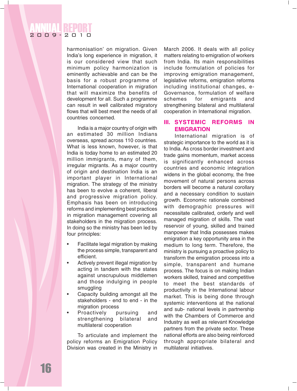harmonisation' on migration. Given India's long experience in migration, it is our considered view that such minimum policy harmonization is eminently achievable and can be the basis for a robust programme of International cooperation in migration that will maximize the benefits of development for all. Such a programme can result in well calibrated migratory flows that will best meet the needs of all countries concerned.

India is a major country of origin with an estimated 30 million Indians overseas, spread across 110 countries. What is less known, however, is that India is today home to an estimated 20 million immigrants, many of them, irregular migrants. As a major country of origin and destination India is an important player in International migration. The strategy of the ministry has been to evolve a coherent, liberal and progressive migration policy. Emphasis has been on introducing reforms and implementing best practices in migration management covering all stakeholders in the migration process. In doing so the ministry has been led by four principles:

- Facilitate legal migration by making the process simple, transparent and efficient.
- Actively prevent illegal migration by acting in tandem with the states against unscrupulous middlemen and those indulging in people smuggling
- Capacity building amongst all the stakeholders - end to end - in the migration process
- Proactively pursuing and strengthening bilateral and multilateral cooperation

To articulate and implement the policy reforms an Emigration Policy Division was created in the Ministry in

March 2006. It deals with all policy matters relating to emigration of workers from India. Its main responsibilities include formulation of policies for improving emigration management, legislative reforms, emigration reforms including institutional changes, e-Governance, formulation of welfare schemes for emigrants and strengthening bilateral and multilateral cooperation in International migration.

#### **III. SYSTEMIC REFORMS IN EMIGRATION**

International migration is of strategic importance to the world as it is to India. As cross border investment and trade gains momentum, market access is significantly enhanced across countries and economic integration widens in the global economy, the free movement of natural persons across borders will become a natural corollary and a necessary condition to sustain growth. Economic rationale combined with demographic pressures will necessitate calibrated, orderly and well managed migration of skills. The vast reservoir of young, skilled and trained manpower that India possesses makes emigration a key opportunity area in the medium to long term. Therefore, the ministry is pursuing a proactive policy to transform the emigration process into a simple, transparent and humane process. The focus is on making Indian workers skilled, trained and competitive to meet the best standards of productivity in the International labour market. This is being done through systemic interventions at the national and sub- national levels in partnership with the Chambers of Commerce and Industry as well as relevant Knowledge partners from the private sector. These national efforts are also being reinforced through appropriate bilateral and multilateral initiatives.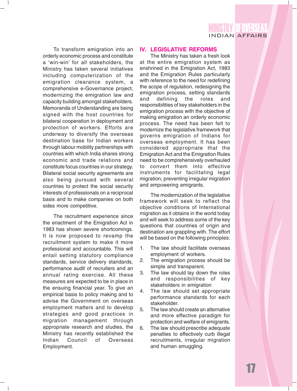

To transform emigration into an orderly economic process and constitute a 'win-win' for all stakeholders, the Ministry has taken several initiatives including computerization of the emigration clearance system, a comprehensive e-Governance project, modernizing the emigration law and capacity building amongst stakeholders. Memoranda of Understanding are being signed with the host countries for bilateral cooperation in deployment and protection of workers. Efforts are underway to diversify the overseas destination base for Indian workers through labour mobility partnerships with countries with which India shares strong economic and trade relations and constitute focus countries in our strategy. Bilateral social security agreements are also being pursued with several countries to protect the social security interests of professionals on a reciprocal basis and to make companies on both sides more competitive.

The recruitment experience since the enactment of the Emigration Act in 1983 has shown severe shortcomings. It is now proposed to revamp the recruitment system to make it more professional and accountable. This will entail setting statutory compliance standards, service delivery standards, performance audit of recruiters and an annual rating exercise. All these measures are expected to be in place in the ensuing financial year. To give an empirical basis to policy making and to advise the Government on overseas employment matters and to develop strategies and good practices in migration management through appropriate research and studies, the Ministry has recently established the Indian Council of Overseas Employment.

#### **IV. LEGISLATIVE REFORMS**

The Ministry has taken a fresh look at the entire emigration system as enshrined in the Emigration Act, 1983 and the Emigration Rules particularly with reference to the need for redefining the scope of regulation, redesigning the emigration process, setting standards and defining the roles and responsibilities of key stakeholders in the emigration process with the objective of making emigration an orderly economic process. The need has been felt to modernize the legislative framework that governs emigration of Indians for overseas employment. It has been considered appropriate that the Emigration Act and the Emigration Rules need to be comprehensively overhauled to convert them into effective instruments for facilitating legal migration, preventing irregular migration and empowering emigrants.

The modernization of the legislative framework will seek to reflect the objective conditions of International migration as it obtains in the world today and will seek to address some of the key questions that countries of origin and destination are grappling with. The effort will be based on the following principles:

- 1. The law should facilitate overseas employment of workers.
- 2. The emigration process should be simple and transparent.
- 3. The law should lay down the roles and responsibilities of key stakeholders in emigration
- 4. The law should set appropriate performance standards for each stakeholder.
- 5. The law should create an alternative and more effective paradigm for protection and welfare of emigrants.
- 6. The law should prescribe adequate penalties to effectively curb illegal recruitments, irregular migration and human smuggling.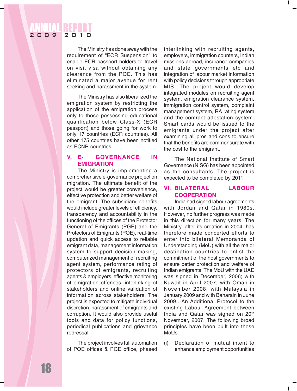The Ministry has done away with the requirement of "ECR Suspension" to enable ECR passport holders to travel on visit visa without obtaining any clearance from the POE. This has eliminated a major avenue for rent seeking and harassment in the system.

The Ministry has also liberalized the emigration system by restricting the application of the emigration process only to those possessing educational qualification below Class-X (ECR passport) and those going for work to only 17 countries (ECR countries). All other 175 countries have been notified as ECNR countries.

#### **V. E- GOVERNANCE IN EMIGRATION**

The Ministry is implementing a comprehensive e-governance project on migration. The ultimate benefit of the project would be greater convenience, effective protection and better welfare of the emigrant. The subsidiary benefits would include greater levels of efficiency, transparency and accountability in the functioning of the offices of the Protector General of Emigrants (PGE) and the Protectors of Emigrants (POE), real-time updation and quick access to reliable emigrant data, management information system to support decision making, computerized management of recruiting agent system, performance rating of protectors of emigrants, recruiting agents & employers, effective monitoring of emigration offences, interlinking of stakeholders and online validation of information across stakeholders. The project is expected to mitigate individual discretion, harassment of emigrants and corruption. It would also provide useful tools and data for policy functions, periodical publications and grievance redressal.

The project involves full automation of POE offices & PGE office, phased

interlinking with recruiting agents, employers, immigration counters, Indian missions abroad, insurance companies and state governments etc and integration of labour market information with policy decisions through appropriate MIS. The project would develop integrated modules on recruiting agent system, emigration clearance system, immigration control system, complaint management system, RA rating system and the contract attestation system. Smart cards would be issued to the emigrants under the project after examining all pros and cons to ensure that the benefits are commensurate with the cost to the emigrant.

The National Institute of Smart Governance (NISG) has been appointed as the consultants. The project is expected to be completed by 2011.

#### **VI. BILATERAL LABOUR COOPERATION**

India had signed labour agreements with Jordan and Qatar in 1980s. However, no further progress was made in this direction for many years. The Ministry, after its creation in 2004, has therefore made concerted efforts to enter into bilateral Memoranda of Understanding (MoU) with all the major destination countries to enlist the commitment of the host governments to ensure better protection and welfare of Indian emigrants. The MoU with the UAE was signed in December, 2006; with Kuwait in April 2007; with Oman in November 2008, with Malaysia in January 2009 and with Baharain in June 2009.. An Additional Protocol to the existing Labour Agreement between India and Qatar was signed on 20<sup>th</sup> November, 2007. The following broad principles have been built into these MoUs:

(i) Declaration of mutual intent to enhance employment opportunities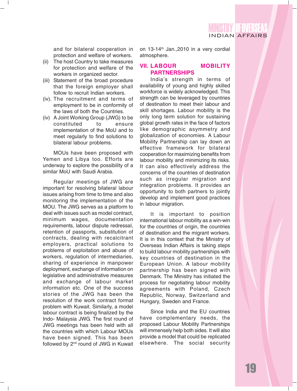

and for bilateral cooperation in protection and welfare of workers.

- (ii) The host Country to take measures for protection and welfare of the workers in organized sector.
- (iii) Statement of the broad procedure that the foreign employer shall follow to recruit Indian workers.
- (iv). The recruitment and terms of employment to be in conformity of the laws of both the Countries.
- (iv) A Joint Working Group (JWG) to be constituted to ensure implementation of the MoU and to meet regularly to find solutions to bilateral labour problems.

MOUs have been proposed with Yemen and Libya too. Efforts are underway to explore the possibility of a similar MoU with Saudi Arabia.

Regular meetings of JWG are important for resolving bilateral labour issues arising from time to time and also monitoring the implementation of the MOU. The JWG serves as a platform to deal with issues such as model contract, minimum wages, documentation requirements, labour dispute redressal, retention of passports, substitution of contracts, dealing with recalcitrant employers, practical solutions to problems of exploitation and abuse of workers, regulation of intermediaries, sharing of experience in manpower deployment, exchange of information on legislative and administrative measures and exchange of labour market information etc. One of the success stories of the JWG has been the resolution of the work contract format problem with Kuwait. Similarly, a model labour contract is being finalized by the Indo- Malaysia JWG. The first round of JWG meetings has been held with all the countries with which Labour MOUs have been signed. This has been followed by 2nd round of JWG in Kuwait

on  $13-14$ <sup>th</sup> Jan., 2010 in a very cordial atmosphere.

#### **VII. LABOUR MOBILITY PARTNERSHIPS**

India's strength in terms of availability of young and highly skilled workforce is widely acknowledged. This strength can be leveraged by countries of destination to meet their labour and skill shortages. Labour mobility is the only long term solution for sustaining global growth rates in the face of factors like demographic asymmetry and globalization of economies. A Labour Mobility Partnership can lay down an effective framework for bilateral cooperation for maximizing benefits from labour mobility and minimizing its risks. It can also effectively address the concerns of the countries of destination such as irregular migration and integration problems. It provides an opportunity to both partners to jointly develop and implement good practices in labour migration.

It is important to position international labour mobility as a win-win for the countries of origin, the countries of destination and the migrant workers. It is in this context that the Ministry of Overseas Indian Affairs is taking steps to build labour mobility partnerships with key countries of destination in the European Union. A labour mobility partnership has been signed with Denmark. The Ministry has initiated the process for negotiating labour mobility agreements with Poland, Czech Republic, Norway, Switzerland and Hungary, Sweden and France.

Since India and the EU countries have complementary needs, the proposed Labour Mobility Partnerships will immensely help both sides. It will also provide a model that could be replicated elsewhere. The social security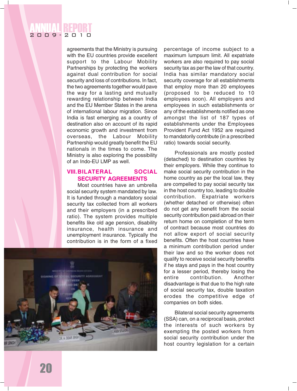agreements that the Ministry is pursuing with the EU countries provide excellent support to the Labour Mobility Partnerships by protecting the workers against dual contribution for social security and loss of contributions. In fact, the two agreements together would pave the way for a lasting and mutually rewarding relationship between India and the EU Member States in the arena of international labour migration. Since India is fast emerging as a country of destination also on account of its rapid economic growth and investment from overseas, the Labour Mobility Partnership would greatly benefit the EU nationals in the times to come. The Ministry is also exploring the possibility of an Indo-EU LMP as well.

#### **VIII.BILATERAL SOCIAL SECURITY AGREEMENTS**

Most countries have an umbrella social security system mandated by law. It is funded through a mandatory social security tax collected from all workers and their employers (in a prescribed ratio). The system provides multiple benefits like old age pension, disability insurance, health insurance and unemployment insurance. Typically the contribution is in the form of a fixed



percentage of income subject to a maximum lumpsum limit. All expatriate workers are also required to pay social security tax as per the law of that country. India has similar mandatory social security coverage for all establishments that employ more than 20 employees (proposed to be reduced to 10 employees soon). All employers and employees in such establishments or any of the establishments notified as one amongst the list of 187 types of establishments under the Employees Provident Fund Act 1952 are required to mandatorily contribute (in a prescribed ratio) towards social security.

Professionals are mostly posted (detached) to destination countries by their employers. While they continue to make social security contribution in the home country as per the local law, they are compelled to pay social security tax in the host country too, leading to double contribution. Expatriate workers (whether detached or otherwise) often do not get any benefit from the social security contribution paid abroad on their return home on completion of the term of contract because most countries do not allow export of social security benefits. Often the host countries have a minimum contribution period under their law and so the worker does not qualify to receive social security benefits if he stays and pays in the host country for a lesser period, thereby losing the entire contribution. Another disadvantage is that due to the high rate of social security tax, double taxation erodes the competitive edge of companies on both sides.

Bilateral social security agreements (SSA) can, on a reciprocal basis, protect the interests of such workers by exempting the posted workers from social security contribution under the host country legislation for a certain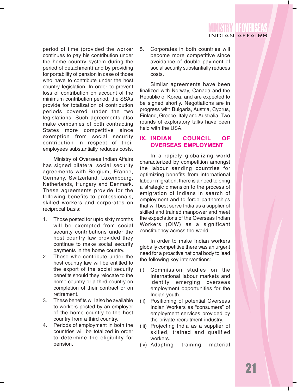period of time (provided the worker continues to pay his contribution under the home country system during the period of detachment) and by providing for portability of pension in case of those who have to contribute under the host country legislation. In order to prevent loss of contribution on account of the minimum contribution period, the SSAs provide for totalization of contribution periods covered under the two legislations. Such agreements also make companies of both contracting States more competitive since exemption from social security contribution in respect of their employees substantially reduces costs.

Ministry of Overseas Indian Affairs has signed bilateral social security agreements with Belgium, France, Germany, Switzerland, Luxembourg, Netherlands, Hungary and Denmark. These agreements provide for the following benefits to professionals, skilled workers and corporates on reciprocal basis:

- 1. Those posted for upto sixty months will be exempted from social security contributions under the host country law provided they continue to make social security payments in the home country.
- 2. Those who contribute under the host country law will be entitled to the export of the social security benefits should they relocate to the home country or a third country on completion of their contract or on retirement.
- 3. These benefits will also be available to workers posted by an employer of the home country to the host country from a third country.
- 4. Periods of employment in both the countries will be totalized in order to determine the eligibility for pension.

5. Corporates in both countries will become more competitive since avoidance of double payment of social security substantially reduces costs.

MINISTRY OFOVERSEAS INDIAN AFFAIRS

Similar agreements have been finalized with Norway, Canada and the Republic of Korea, and are expected to be signed shortly. Negotiations are in progress with Bulgaria, Austria, Cyprus, Finland, Greece, Italy and Australia. Two rounds of exploratory talks have been held with the USA.

#### **IX. INDIAN COUNCIL OF OVERSEAS EMPLOYMENT**

In a rapidly globalizing world characterized by competition amongst the labour sending countries for optimizing benefits from international labour migration, there is a need to bring a strategic dimension to the process of emigration of Indians in search of employment and to forge partnerships that will best serve India as a supplier of skilled and trained manpower and meet the expectations of the Overseas Indian Workers (OIW) as a significant constituency across the world.

In order to make Indian workers globally competitive there was an urgent need for a proactive national body to lead the following key interventions:

- (i) Commission studies on the International labour markets and identify emerging overseas employment opportunities for the Indian youth.
- (ii) Positioning of potential Overseas Indian Workers as "consumers" of employment services provided by the private recruitment industry.
- (iii) Projecting India as a supplier of skilled, trained and qualified workers.
- (iv) Adapting training material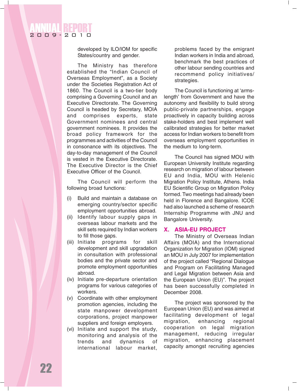developed by ILO/IOM for specific States/country and gender.

The Ministry has therefore established the "Indian Council of Overseas Employment", as a Society under the Societies Registration Act of 1860. The Council is a two-tier body comprising a Governing Council and an Executive Directorate. The Governing Council is headed by Secretary, MOIA and comprises experts, state Government nominees and central government nominees. It provides the broad policy framework for the programmes and activities of the Council in consonance with its objectives. The day-to-day management of the Council is vested in the Executive Directorate. The Executive Director is the Chief Executive Officer of the Council.

The Council will perform the following broad functions:

- (i) Build and maintain a database on emerging country/sector specific employment opportunities abroad.
- (ii) Identify labour supply gaps in overseas labour markets and the skill sets required by Indian workers to fill those gaps.
- (iii) Initiate programs for skill development and skill upgradation in consultation with professional bodies and the private sector and promote employment opportunities abroad.
- (iv) Initiate pre-departure orientation programs for various categories of workers.
- (v) Coordinate with other employment promotion agencies, including the state manpower development corporations, project manpower suppliers and foreign employers.
- (vi) Initiate and support the study, monitoring and analysis of the trends and dynamics of international labour market,

problems faced by the emigrant Indian workers in India and abroad, benchmark the best practices of other labour sending countries and recommend policy initiatives/ strategies.

The Council is functioning at 'armslength' from Government and have the autonomy and flexibility to build strong public-private partnerships, engage proactively in capacity building across stake-holders and best implement well calibrated strategies for better market access for Indian workers to benefit from overseas employment opportunities in the medium to long-term.

The Council has signed MOU with European University Institute regarding research on migration of labour between EU and India, MOU with Helenic Migration Policy Institute, Athens. India EU Scientific Group on Migration Policy formed. Two meetings had already been held in Florence and Bangalore. ICOE had also launched a scheme of research Internship Programme with JNU and Bangalore University.

#### **X. ASIA-EU PROJECT**

The Ministry of Overseas Indian Affairs (MOIA) and the International Organization for Migration (IOM) signed an MOU in July 2007 for implementation of the project called "Regional Dialogue and Program on Facilitating Managed and Legal Migration between Asia and the European Union (EU)". The project has been successfully completed in December 2008.

The project was sponsored by the European Union (EU) and was aimed at facilitating development of legal migration, enhancing regional cooperation on legal migration management, reducing irregular migration, enhancing placement capacity amongst recruiting agencies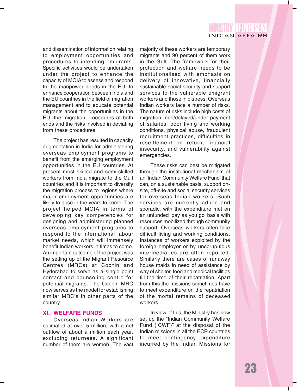

and dissemination of information relating to employment opportunities and procedures to intending emigrants. Specific activities would be undertaken under the project to enhance the capacity of MOIA to assess and respond to the manpower needs in the EU, to enhance cooperation between India and the EU countries in the field of migration management and to educate potential migrants about the opportunities in the EU, the migration procedures at both ends and the risks involved in deviating from these procedures.

The project has resulted in capacity augmentation in India for administering overseas employment programs to benefit from the emerging employment opportunities in the EU countries. At present most skilled and semi-skilled workers from India migrate to the Gulf countries and it is important to diversify the migration process to regions where major employment opportunities are likely to arise in the years to come. The project helped MOIA in terms of developing key competencies for designing and administering planned overseas employment programs to respond to the international labour market needs, which will immensely benefit Indian workers in times to come. An important outcome of the project was the setting up of the Migrant Resource Centres (MRCs) at Cochin and Hyderabad to serve as a single point contact and counseling centre for potential migrants. The Cochin MRC now serves as the model for establishing similar MRC's in other parts of the country.

#### **XI. WELFARE FUNDS**

Overseas Indian Workers are estimated at over 5 million, with a net outflow of about a million each year, excluding returnees. A significant number of them are women. The vast

majority of these workers are temporary migrants and 90 percent of them work in the Gulf. The framework for their protection and welfare needs to be institutionalised with emphasis on delivery of innovative, financially sustainable social security and support services to the vulnerable emigrant workers and those in distress. Overseas Indian workers face a number of risks. The nature of risks include high costs of migration, non/delayed/under payment of salaries, poor living and working conditions, physical abuse, fraudulent recruitment practices, difficulties in resettlement on return, financial insecurity, and vulnerability against emergencies.

These risks can best be mitigated through the institutional mechanism of an 'Indian Community Welfare Fund' that can, on a sustainable basis, support onsite, off-site and social security services for overseas Indian workers. Such services are currently adhoc and sporadic, with the expenditure met on an unfunded 'pay as you go' basis with resources mobilized through community support. Overseas workers often face difficult living and working conditions. Instances of workers exploited by the foreign employer or by unscrupulous intermediaries are often reported. Similarly there are cases of runaway house maids in need of assistance by way of shelter, food and medical facilities till the time of their repatriation. Apart from this the missions sometimes have to meet expenditure on the repatriation of the mortal remains of deceased workers.

In view of this, the Ministry has now set up the "Indian Community Welfare Fund (ICWF)" at the disposal of the Indian missions in all the ECR countries to meet contingency expenditure incurred by the Indian Missions for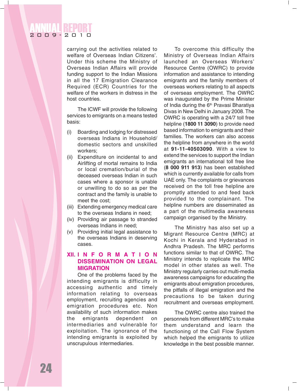carrying out the activities related to welfare of Overseas Indian Citizens'. Under this scheme the Ministry of Overseas Indian Affairs will provide funding support to the Indian Missions in all the 17 Emigration Clearance Required (ECR) Countries for the welfare of the workers in distress in the host countries.

The ICWF will provide the following services to emigrants on a means tested basis:

- (i) Boarding and lodging for distressed overseas Indians in Household/ domestic sectors and unskilled workers;
- (ii) Expenditure on incidental to and Airlifting of mortal remains to India or local cremation/burial of the deceased overseas Indian in such cases where a sponsor is unable or unwilling to do so as per the contract and the family is unable to meet the cost;
- (iii) Extending emergency medical care to the overseas Indians in need;
- (iv) Providing air passage to stranded overseas Indians in need;
- (v) Providing initial legal assistance to the overseas Indians in deserving cases.

#### **XII. INFORMATION DISSEMINATION ON LEGAL MIGRATION**

One of the problems faced by the intending emigrants is difficulty in accessing authentic and timely information relating to overseas employment, recruiting agencies and emigration procedures etc. Non availability of such information makes the emigrants dependent on intermediaries and vulnerable for exploitation. The ignorance of the intending emigrants is exploited by unscrupulous intermediaries.

To overcome this difficulty the Ministry of Overseas Indian Affairs launched an Overseas Workers' Resource Centre (OWRC) to provide information and assistance to intending emigrants and the family members of overseas workers relating to all aspects of overseas employment. The OWRC was inaugurated by the Prime Minister of India during the  $6<sup>th</sup>$  Pravasi Bharatiya Divas in New Delhi in January 2008. The OWRC is operating with a 24/7 toll free helpline (**1800 11 3090**) to provide need based information to emigrants and their families. The workers can also access the helpline from anywhere in the world at **91-11-40503090**. With a view to extend the services to support the Indian emigrants an international toll free line (**8 000 911 913**) has been established which is currently available for calls from UAE only. The complaints or grievances received on the toll free helpline are promptly attended to and feed back provided to the complainant. The helpline numbers are disseminated as a part of the multimedia awareness campaign organised by the Ministry.

The Ministry has also set up a Migrant Resource Centre (MRC) at Kochi in Kerala and Hyderabad in Andhra Pradesh. The MRC performs functions similar to that of OWRC. The Ministry intends to replicate the MRC model in other states as well. The Ministry regularly carries out multi-media awareness campaigns for educating the emigrants about emigration procedures, the pitfalls of illegal emigration and the precautions to be taken during recruitment and overseas employment.

The OWRC centre also trained the personnels from different MRC's to make them understand and learn the functioning of the Call Flow System which helped the emigrants to utilize knowledge in the best possible manner.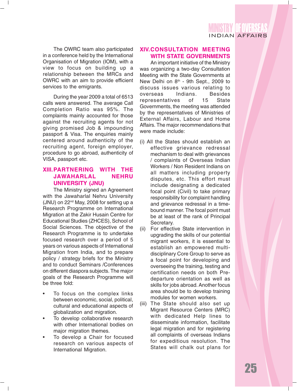

The OWRC team also participated in a conference held by the International Organisation of Migration (IOM), with a view to focus on building up a relationship between the MRCs and OWRC with an aim to provide efficient services to the emigrants.

During the year 2009 a total of 6513 calls were answered. The average Call Completion Ratio was 95%. The complaints mainly accounted for those against the recruiting agents for not giving promised Job & impounding passport & Visa. The enquiries mainly centered around authenticity of the recruiting agent, foreign employer, procedure to go abroad, authenticity of VISA, passport etc.

#### **XIII.PARTNERING WITH THE JAWAHARLAL NEHRU UNIVERSITY (JNU)**

The Ministry signed an Agreement with the Jawaharlal Nehru University (JNU) on 22nd May, 2008 for setting up a Research Programme on International Migration at the Zakir Husain Centre for Educational Studies (ZHCES), School of Social Sciences. The objective of the Research Programme is to undertake focused research over a period of 5 years on various aspects of International Migration from India, and to prepare policy / strategy briefs for the Ministry and to conduct Seminars /Conferences on different diaspora subjects. The major goals of the Research Programme will be three fold:

- To focus on the complex links between economic, social, political, cultural and educational aspects of globalization and migration.
- To develop collaborative research with other International bodies on major migration themes.
- To develop a Chair for focused research on various aspects of International Migration.

#### **XIV.CONSULTATION MEETING WITH STATE GOVERNMENTS**

An important initiative of the Ministry was organizing a two-day Consultation Meeting with the State Governments at New Delhi on 8<sup>th</sup> - 9th Sept., 2009 to discuss issues various relating to overseas Indians. Besides representatives of 15 State Governments, the meeting was attended by the representatives of Ministries of External Affairs, Labour and Home Affairs. The major recommendations that were made include:

- (i) All the States should establish an effective grievance redressal mechanism to deal with grievances / complaints of Overseas Indian Workers / Non Resident Indians on all matters including property disputes, etc. This effort must include designating a dedicated focal point (Civil) to take primary responsibility for complaint handling and grievance redressal in a timebound manner. The focal point must be at least of the rank of Principal Secretary.
- (ii) For effective State intervention in upgrading the skills of our potential migrant workers, it is essential to establish an empowered multidisciplinary Core Group to serve as a focal point for developing and overseeing the training, testing and certification needs on both Predeparture orientation as well as skills for jobs abroad. Another focus area should be to develop training modules for women workers.
- (iii) The State should also set up Migrant Resource Centers (MRC) with dedicated Help lines to disseminate information, facilitate legal migration and for registering all complaints of overseas Indians for expeditious resolution. The States will chalk out plans for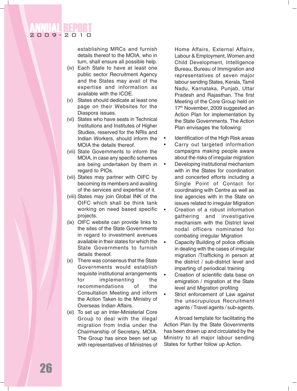establishing MRCs and furnish details thereof to the MOIA, who in turn, shall ensure all possible help.

- (iv) Each State to have at least one public sector Recruitment Agency and the States may avail of the expertise and information as available with the ICOE.
- (v) States should dedicate at least one page on their Websites for the Diaspora issues.
- (vi) States who have seats in Technical Institutions and Institutes of Higher Studies, reserved for the NRIs and Indian Workers, should inform the MOIA the details thereof.
- (vii) State Governments to inform the MOIA, in case any specific schemes are being undertaken by them in regard to PIOs.
- (vii) States may partner with OIFC by becoming its members and availing of the services and expertise of it.
- (viii) States may join Global INK of the OIFC which shall be think tank working on need based specific projects.
- (ix) OIFC website can provide links to the sites of the State Governments in regard to investment avenues available in their states for which the State Governments to furnish details thereof.
- (x) There was consensus that the State Governments would establish requisite institutional arrangements for implementing the recommendations of the Consultation Meeting and inform the Action Taken to the Ministry of Overseas Indian Affairs.
- (xi) To set up an Inter-Ministerial Core Group to deal with the illegal migration from India under the Chairmanship of Secretary, MOIA. The Group has since been set up with representatives of Ministries of

Home Affairs, External Affairs, Labour & Employment, Women and Child Development, Intelligence Bureau, Bureau of Immigration and representatives of seven major labour sending States, Kerala, Tamil Nadu, Karnataka, Punjab, Uttar Pradesh and Rajasthan. The first Meeting of the Core Group held on 17<sup>th</sup> November, 2009 suggested an Action Plan for implementation by the State Governments. The Action Plan envisages the following:

- Identification of the High Risk areas
- Carry out targeted information campaigns making people aware about the risks of irregular migration
- Developing institutional mechanism with in the States for coordination and concerted efforts including a Single Point of Contact for coordinating with Centre as well as line agencies with in the State on issues related to irregular Migration
- Creation of a robust information gathering and investigative mechanism with the District level nodal officers nominated for combating irregular Migration
- Capacity Building of police officials in dealing with the cases of irregular migration /Trafficking in person at the district / sub-district level and imparting of periodical training
- Creation of scientific data base on emigration / migration at the State level and Migration profiling
- Strict enforcement of Law against the unscrupulous Recruitment agents / Travel agents / sub-agents.

A broad template for facilitating the Action Plan by the State Governments has been drawn up and circulated by the Ministry to all major labour sending States for further follow up Action.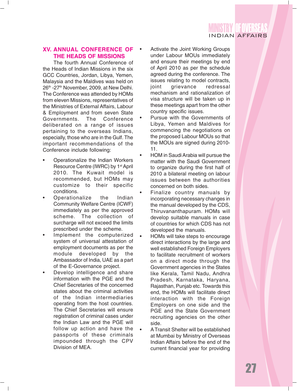### MINISTRY OFOVERSEAS INDIAN AFFAIRS

#### **XV. ANNUAL CONFERENCE OF THE HEADS OF MISSIONS**

The fourth Annual Conference of the Heads of Indian Missions in the six GCC Countries, Jordan, Libya, Yemen, Malaysia and the Maldives was held on 26<sup>th</sup> -27<sup>th</sup> November, 2009, at New Delhi. The Conference was attended by HOMs from eleven Missions, representatives of the Ministries of External Affairs, Labour & Employment and from seven State Governments. The Conference deliberated on a range of issues pertaining to the overseas Indians, especially, those who are in the Gulf. The important recommendations of the Conference include following:

- Operationalize the Indian Workers Resource Centre (IWRC) by 1<sup>st</sup> April 2010. The Kuwait model is recommended, but HOMs may customize to their specific conditions.
- Operationalize the Indian Community Welfare Centre (ICWF) immediately as per the approved scheme. The collection of surcharge will not exceed the limits prescribed under the scheme.
- Implement the computerized system of universal attestation of employment documents as per the module developed by the Ambassador of India, UAE as a part of the E-Governance project.
- Develop intelligence and share information with the PGE and the Chief Secretaries of the concerned states about the criminal activities of the Indian intermediaries operating from the host countries. The Chief Secretaries will ensure registration of criminal cases under the Indian Law and the PGE will follow up action and have the passports of these criminals impounded through the CPV Division of MEA.
- Activate the Joint Working Groups under Labour MOUs immediately and ensure their meetings by end of April 2010 as per the schedule agreed during the conference. The issues relating to model contracts, joint grievance redressal mechanism and rationalization of visa structure will be taken up in these meetings apart from the other country specific issues.
- Pursue with the Governments of Libya, Yemen and Maldives for commencing the negotiations on the proposed Labour MOUs so that the MOUs are signed during 2010- 11.
- HOM in Saudi Arabia will pursue the matter with the Saudi Government to organize during the first half of 2010 a bilateral meeting on labour issues between the authorities concerned on both sides.
- Finalize country manuals by incorporating necessary changes in the manual developed by the CDS, Thiruvananthapuram. HOMs will develop suitable manuals in case of countries for which CDS has not developed the manuals.
- HOMs will take steps to encourage direct interactions by the large and well established Foreign Employers to facilitate recruitment of workers on a direct mode through the Government agencies in the States like Kerala, Tamil Nadu, Andhra Pradesh, Karnataka, Haryana, Rajasthan, Punjab etc. Towards this end, the HOMs will facilitate direct interaction with the Foreign Employers on one side and the PGE and the State Government recruiting agencies on the other side.
- A Transit Shelter will be established at Mumbai by Ministry of Overseas Indian Affairs before the end of the current financial year for providing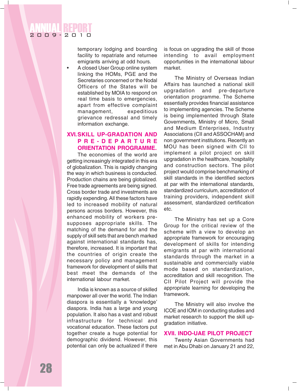temporary lodging and boarding facility to repatriate and returnee emigrants arriving at odd hours.

• A closed User Group online system linking the HOMs, PGE and the Secretaries concerned or the Nodal Officers of the States will be established by MOIA to respond on real time basis to emergencies, apart from effective complaint management, expeditious grievance redressal and timely information exchange.

#### **XVI.SKILL UP-GRADATION AND PRE-DEPARTURE ORIENTATION PROGRAMME.**

The economies of the world are getting increasingly integrated in this era of globalization. This is rapidly changing the way in which business is conducted. Production chains are being globalized. Free trade agreements are being signed. Cross border trade and investments are rapidly expending. All these factors have led to increased mobility of natural persons across borders. However, this enhanced mobility of workers presupposes appropriate skills. The matching of the demand for and the supply of skill sets that are bench marked against international standards has, therefore, increased. It is important that the countries of origin create the necessary policy and management framework for development of skills that best meet the demands of the international labour market.

India is known as a source of skilled manpower all over the world. The Indian diaspora is essentially a 'knowledge' diaspora. India has a large and young population. It also has a vast and robust infrastructure for technical and vocational education. These factors put together create a huge potential for demographic dividend. However, this potential can only be actualized if there

is focus on upgrading the skill of those intending to avail employment opportunities in the international labour market.

The Ministry of Overseas Indian Affairs has launched a national skill upgradation and pre-departure orientation programme. The Scheme essentially provides financial assistance to implementing agencies. The Scheme is being implemented through State Governments, Ministry of Micro, Small and Medium Enterprises, Industry Associations (CII and ASSOCHAM) and non government institutions. Recently an MOU has been signed with CII to implement a pilot project on skill upgradation in the healthcare, hospitality and construction sectors. The pilot project would comprise benchmarking of skill standards in the identified sectors at par with the international standards, standardized curriculum, accreditation of training providers, independent skill assessment, standardized certification etc.

The Ministry has set up a Core Group for the critical review of the scheme with a view to develop an appropriate framework for encouraging development of skills for intending emigrants at par with international standards through the market in a sustainable and commercially viable mode based on standardization, accreditation and skill recognition. The CII Pilot Project will provide the appropriate learning for developing the framework.

The Ministry will also involve the ICOE and IOM in conducting studies and market research to support the skill upgradation initiative.

#### **XVII. INDO-UAE PILOT PROJECT**

Twenty Asian Governments had met in Abu Dhabi on January 21 and 22,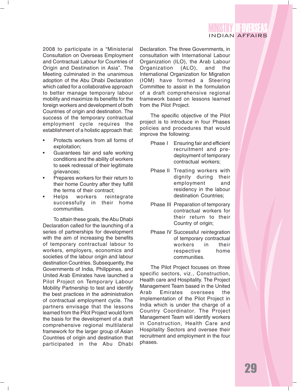2008 to participate in a "Ministerial Consultation on Overseas Employment and Contractual Labour for Countries of Origin and Destination in Asia". The Meeting culminated in the unanimous adoption of the Abu Dhabi Declaration which called for a collaborative approach to better manage temporary labour mobility and maximize its benefits for the foreign workers and development of both Countries of origin and destination. The success of the temporary contractual employment cycle requires the establishment of a holistic approach that:

- Protects workers from all forms of exploitation;
- Guarantees fair and safe working conditions and the ability of workers to seek redressal of their legitimate grievances;
- Prepares workers for their return to their home Country after they fulfill the terms of their contract;
- Helps workers reintegrate successfully in their home communities.

To attain these goals, the Abu Dhabi Declaration called for the launching of a series of partnerships for development with the aim of increasing the benefits of temporary contractual labour to workers, employers, economics and societies of the labour origin and labour destination Countries. Subsequently, the Governments of India, Philippines, and United Arab Emirates have launched a Pilot Project on Temporary Labour Mobility Partnership to test and identify the best practices in the administration of contractual employment cycle. The partners envisage that the lessons learned from the Pilot Project would form the basis for the development of a draft comprehensive regional multilateral framework for the larger group of Asian Countries of origin and destination that participated in the Abu Dhabi

Declaration. The three Governments, in consultation with International Labour Organization (ILO), the Arab Labour Organization (ALO), and the International Organization for Migration (IOM) have formed a Steering Committee to assist in the formulation of a draft comprehensive regional framework based on lessons learned from the Pilot Project.

MINISTRY OFOVERSEAS INDIAN AFFAIRS

The specific objective of the Pilot project is to introduce in four Phases policies and procedures that would improve the following:

- Phase I Ensuring fair and efficient recruitment and predeployment of temporary contractual workers;
- Phase II Treating workers with dignity during their employment and residency in the labour destination Countries;
- Phase III Preparation of temporary contractual workers for their return to their Country of origin;
- Phase IV Successful reintegration of temporary contractual workers in their respective home communities.

The Pilot Project focuses on three specific sectors, viz., Construction, Health care and Hospitality. The Project Management Team based in the United Arab Emirates oversees the implementation of the Pilot Project in India which is under the charge of a Country Coordinator. The Project Management Team will identify workers in Construction, Health Care and Hospitality Sectors and oversee their recruitment and employment in the four phases.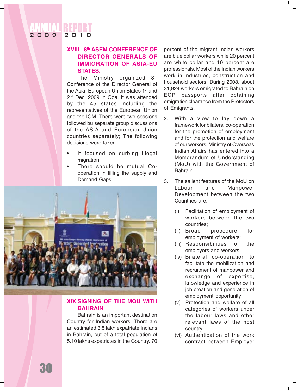#### **XVIII 8th ASEM CONFERENCE OF DIRECTOR GENERALS OF IMMIGRATION OF ASIA-EU STATES.**

The Ministry organized 8<sup>th</sup> Conference of the Director General of the Asia European Union States 1<sup>st</sup> and 2<sup>nd</sup> Dec. 2009 in Goa. It was attended by the 45 states including the representatives of the European Union and the IOM. There were two sessions followed bu separate group discussions of the ASIA and European Union countries separately; The following decisions were taken:

- It focused on curbing illegal migration.
- There should be mutual Cooperation in filling the supply and Demand Gaps.



#### **XIX SIGNING OF THE MOU WITH BAHRAIN**

Bahrain is an important destination Country for Indian workers. There are an estimated 3.5 lakh expatriate Indians in Bahrain, out of a total population of 5.10 lakhs expatriates in the Country. 70

percent of the migrant Indian workers are blue collar workers while 20 percent are white collar and 10 percent are professionals. Most of the Indian workers work in industries, construction and household sectors. During 2008, about 31,924 workers emigrated to Bahrain on ECR passports after obtaining emigration clearance from the Protectors of Emigrants.

- 2. With a view to lay down a framework for bilateral co-operation for the promotion of employment and for the protection and welfare of our workers, Ministry of Overseas Indian Affairs has entered into a Memorandum of Understanding (MoU) with the Government of Bahrain.
- 3. The salient features of the MoU on Labour and Manpower Development between the two Countries are:
	- (i) Facilitation of employment of workers between the two countries;
	- (ii) Broad procedure for employment of workers;
	- (iii) Responsibilities of the employers and workers;
	- (iv) Bilateral co-operation to facilitate the mobilization and recruitment of manpower and exchange of expertise, knowledge and experience in job creation and generation of employment opportunity;
	- (v) Protection and welfare of all categories of workers under the labour laws and other relevant laws of the host country;
	- (vi) Authentication of the work contract between Employer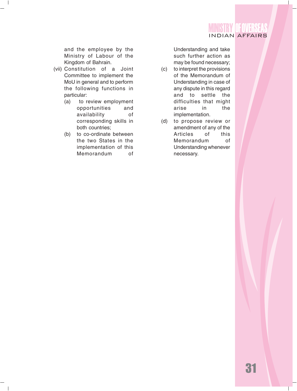

and the employee by the Ministry of Labour of the Kingdom of Bahrain.

 $\overline{\phantom{a}}$ 

- (vii) Constitution of a Joint Committee to implement the MoU in general and to perform the following functions in particular:
	- (a) to review employment opportunities and availability of corresponding skills in both countries;
	- (b) to co-ordinate between the two States in the implementation of this Memorandum of

Understanding and take such further action as may be found necessary;

- (c) to interpret the provisions of the Memorandum of Understanding in case of any dispute in this regard and to settle the difficulties that might arise in the implementation.
- (d) to propose review or amendment of any of the Articles of this Memorandum of Understanding whenever necessary.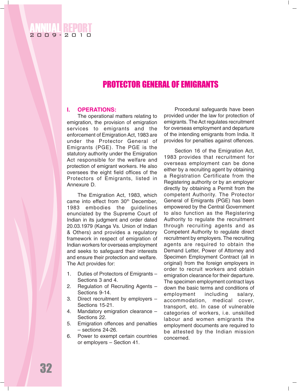### PROTECTOR GENERAL OF EMIGRANTS

#### **I. OPERATIONS:**

The operational matters relating to emigration, the provision of emigration services to emigrants and the enforcement of Emigration Act, 1983 are under the Protector General of Emigrants (PGE). The PGE is the statutory authority under the Emigration Act responsible for the welfare and protection of emigrant workers. He also oversees the eight field offices of the Protectors of Emigrants, listed in Annexure D.

The Emigration Act, 1983, which came into effect from 30<sup>th</sup> December, 1983 embodies the guidelines enunciated by the Supreme Court of Indian in its judgment and order dated 20.03.1979 (Kanga Vs. Union of Indian & Others) and provides a regulatory framework in respect of emigration of Indian workers for overseas employment and seeks to safeguard their interests and ensure their protection and welfare. The Act provides for:

- 1. Duties of Protectors of Emigrants Sections 3 and 4.
- 2. Regulation of Recruiting Agents Sections 9-14.
- 3. Direct recruitment by employers Sections 15-21.
- 4. Mandatory emigration clearance Sections 22.
- 5. Emigration offences and penalties – sections 24-26.
- 6. Power to exempt certain countries or employers – Section 41.

Procedural safeguards have been provided under the law for protection of emigrants. The Act regulates recruitment for overseas employment and departure of the intending emigrants from India. It provides for penalties against offences.

Section 16 of the Emigration Act, 1983 provides that recruitment for overseas employment can be done either by a recruiting agent by obtaining a Registration Certificate from the Registering authority or by an employer directly by obtaining a Permit from the competent Authority. The Protector General of Emigrants (PGE) has been empowered by the Central Government to also function as the Registering Authority to regulate the recruitment through recruiting agents and as Competent Authority to regulate direct recruitment by employers. The recruiting agents are required to obtain the Demand Letter, Power of Attorney and Specimen Employment Contract (all in original) from the foreign employers in order to recruit workers and obtain emigration clearance for their departure. The specimen employment contract lays down the basic terms and conditions of employment including salary, accommodation, medical cover, transport, etc. In case of vulnerable categories of workers, i.e. unskilled labour and women emigrants the employment documents are required to be attested by the Indian mission concerned.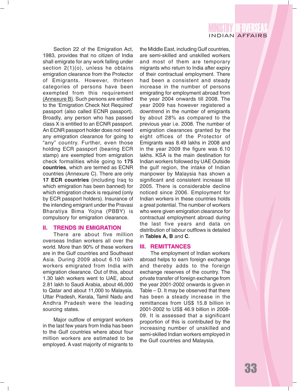Section 22 of the Emigration Act, 1983, provides that no citizen of India shall emigrate for any work falling under section  $2(1)(o)$ , unless he obtains emigration clearance from the Protector of Emigrants. However, thirteen categories of persons have been exempted from this requirement (Annexure B). Such persons are entitled to the 'Emigration Check Not Required' passport (also called ECNR passport). Broadly, any person who has passed class X is entitled to an ECNR passport. An ECNR passport holder does not need any emigration clearance for going to "any" country. Further, even those holding ECR passport (bearing ECR stamp) are exempted from emigration check formalities while going to **175 countries**, which are termed as ECNR countries (Annexure C). There are only **17 ECR countries** (including Iraq to which emigration has been banned) for which emigration check is required (only by ECR passport holders). Insurance of the intending emigrant under the Pravasi Bharatiya Bima Yojna (PBBY) is compulsory for emigration clearance.

#### **II. TRENDS IN EMIGRATION**

There are about five million overseas Indian workers all over the world. More than 90% of these workers are in the Gulf countries and Southeast Asia. During 2009 about 6.10 lakh workers emigrated from India with emigration clearance. Out of this, about 1.30 lakh workers went to UAE, about 2.81 lakh to Saudi Arabia, about 46,000 to Qatar and about 11,000 to Malaysia. Uttar Pradesh, Kerala, Tamil Nadu and Andhra Pradesh were the leading sourcing states.

Major outflow of emigrant workers in the last few years from India has been to the Gulf countries where about four million workers are estimated to be employed. A vast majority of migrants to the Middle East, including Gulf countries, are semi-skilled and unskilled workers and most of them are temporary migrants who return to India after expiry of their contractual employment. There had been a consistent and steady increase in the number of persons emigrating for employment abroad from the year 2004 onwards till 2008. The year 2009 has however registered a downtrend in the number of emigrants by about 28% as compared to the previous year i.e. 2008. The number of emigration clearances granted by the eight offices of the Protector of Emigrants was 8.49 lakhs in 2008 and in the year 2009 the figure was 6.10 lakhs. KSA is the main destination for Indian workers followed by UAE Outside the gulf region, the intake of Indian manpower by Malaysia has shown a significant and consistent increase till 2005. There is considerable decline noticed since 2006. Employment for Indian workers in these countries holds a great potential. The number of workers who were given emigration clearance for contractual employment abroad during the last five years and data on distribution of labour outflows is detailed in **Tables A, B** and **C**.

MINISTRY OFOVERSEAS INDIAN AFFAIRS

#### **III. REMITTANCES**

The employment of Indian workers abroad helps to earn foreign exchange and thereby adds to the foreign exchange reserves of the country. The private transfer of foreign exchange from the year 2001-2002 onwards is given in Table – D. It may be observed that there has been a steady increase in the remittances from US\$ 15.8 billion in 2001-2002 to US\$ 46.9 billion in 2008- 09. It is assessed that a significant proportion of this is contributed by the increasing number of unskilled and semi-skilled Indian workers employed in the Gulf countries and Malaysia.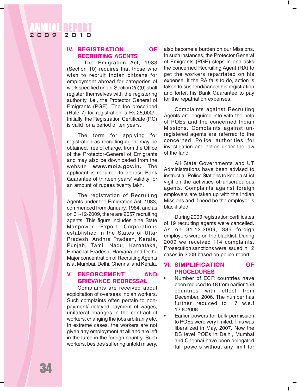

#### **IV. REGISTRATION OF RECRUITING AGENTS**

The Emigration Act, 1983 (Section 10) requires that those who wish to recruit Indian citizens for employment abroad for categories of work specified under Section 2(i)(0) shall register themselves with the registering authority, i.e., the Protector General of Emigrants (PGE). The fee prescribed (Rule 7) for registration is Rs.25,000/-. Initially, the Registration Certificate (RC) is valid for a period of ten years.

The form for applying for registration as recruiting agent may be obtained, free of charge, from the Office of the Protector-General of Emigrants and may also be downloaded from the website **www.moia.gov.in.** The applicant is required to deposit Bank Guarantee of thirteen years' validity for an amount of rupees twenty lakh.

The registration of Recruiting Agents under the Emigration Act, 1983, commenced from January, 1984, and as on 31-12-2009, there are 2057 recruiting agents. This figure includes nine State Manpower Export Corporations established in the States of Uttar Pradesh, Andhra Pradesh, Kerala, Punjab, Tamil Nadu, Karnataka, Himachal Pradesh, Haryana and Delhi. Major concentration of Recruiting Agents is at Mumbai, Delhi, Chennai and Kerala.

#### **V. ENFORCEMENT AND GRIEVANCE REDRESSAL**

Complaints are received about exploitation of overseas Indian workers. Such complaints often pertain to nonpayment/ delayed payment of wages, unilateral changes in the contract of workers, changing the jobs arbitrarily etc. In extreme cases, the workers are not given any employment at all and are left in the lurch in the foreign country. Such workers, besides suffering untold misery,

also become a burden on our Missions. In such instances, the Protector General of Emigrants (PGE) steps in and asks the concerned Recruiting Agent (RA) to get the workers repatriated on his expense. If the RA fails to do, action is taken to suspend/cancel his registration and forfeit his Bank Guarantee to pay for the repatriation expenses.

Complaints against Recruiting Agents are enquired into with the help of POEs and the concerned Indian Missions. Complaints against unregistered agents are referred to the concerned Police authorities for investigation and action under the law of the land.

All State Governments and UT Administrations have been advised to instruct all Police Stations to keep a strict vigil on the activities of unscrupulous agents. Complaints against foreign employers are taken up with the Indian Missions and if need be the employer is blacklisted.

During 2009 registration certificates of 19 recruiting agents were cancelled. As on 31.12.2009, 385 foreign employers were on the blacklist. During 2009 we received 114 complaints. Prosecution sanctions were issued in 12 cases in 2009 based on police report.

#### **VI. SIMPLIFICATION OF PROCEDURES**

- Number of ECR countries have been reduced to 18 from earlier 153 countries with effect from December, 2006. The number has further reduced to 17 w.e.f 12.8.2008.
- Earlier powers for bulk permission to POEs were very limited. This was liberalized in May, 2007. Now the DS level POEs in Delhi, Mumbai and Chennai have been delegated full powers without any limit for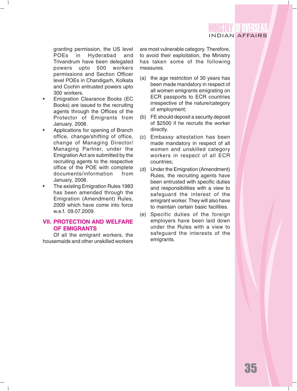granting permission, the US level POEs in Hyderabad and Trivandrum have been delegated powers upto 500 workers permissions and Section Officer level POEs in Chandigarh, Kolkata and Cochin entrusted powers upto 300 workers.

- Emigration Clearance Books (EC Books) are issued to the recruiting agents through the Offices of the Protector of Emigrants from January, 2008.
- Applications for opening of Branch office, change/shifting of office, change of Managing Director/ Managing Partner, under the Emigration Act are submitted by the recruiting agents to the respective office of the POE with complete documents/information from January, 2008.
- The existing Emigration Rules 1983 has been amended through the Emigration (Amendment) Rules, 2009 which have come into force w.e.f. 09.07.2009.

#### **VII. PROTECTION AND WELFARE OF EMIGRANTS**

Of all the emigrant workers, the housemaids and other unskilled workers are most vulnerable category. Therefore, to avoid their exploitation, the Ministry has taken some of the following measures.

MINISTRY OFOVERSEAS INDIAN AFFAIRS

- (a) the age restriction of 30 years has been made mandatory in respect of all women emigrants emigrating on ECR passports to ECR countries irrespective of the nature/category of employment;
- (b) FE should deposit a security deposit of \$2500 if he recruits the worker directly.
- (c) Embassy attestation has been made mandatory in respect of all women and unskilled category workers in respect of all ECR countries;
- (d) Under the Emigration (Amendment) Rules, the recruiting agents have been entrusted with specific duties and responsibilities with a view to safeguard the interest of the emigrant worker. They will also have to maintain certain basic facilities.
- (e) Specific duties of the foreign employers have been laid down under the Rules with a view to safeguard the interests of the emigrants.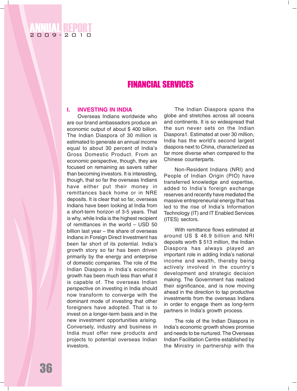### FINANCIAL SERVICES

#### **I. INVESTING IN INDIA**

Overseas Indians worldwide who are our brand ambassadors produce an economic output of about \$ 400 billion. The Indian Diaspora of 30 million is estimated to generate an annual income equal to about 30 percent of India's Gross Domestic Product. From an economic perspective, though, they are focused on remaining as savers rather than becoming investors. It is interesting, though, that so far the overseas Indians have either put their money in remittances back home or in NRE deposits. It is clear that so far, overseas Indians have been looking at India from a short-term horizon of 3-5 years. That is why, while India is the highest recipient of remittances in the world – USD 50 billion last year – the share of overseas Indians in Foreign Direct Investment has been far short of its potential. India's growth story so far has been driven primarily by the energy and enterprise of domestic companies. The role of the Indian Diaspora in India's economic growth has been much less than what it is capable of. The overseas Indian perspective on investing in India should now transform to converge with the dominant mode of investing that other foreigners have adopted. That is to invest on a longer-term basis and in the new investment opportunities arising. Conversely, industry and business in India must offer new products and projects to potential overseas Indian investors.

The Indian Diaspora spans the globe and stretches across all oceans and continents. It is so widespread that the sun never sets on the Indian Diaspora1. Estimated at over 30 million, India has the world's second largest diaspora next to China, characterized as far more diverse when compared to the Chinese counterparts.

Non-Resident Indians (NRI) and People of Indian Origin (PIO) have transferred knowledge and expertise, added to India's foreign exchange reserves and recently have mediated the massive entrepreneurial energy that has led to the rise of India's Information Technology (IT) and IT Enabled Services (ITES) sectors.

With remittance flows estimated at around US \$ 46.9 billion and NRI deposits worth \$ 513 million, the Indian Diaspora has always played an important role in adding India's national income and wealth, thereby being actively involved in the country's development and strategic decision making. The Government has realized their significance, and is now moving ahead in the direction to tap productive investments from the overseas Indians in order to engage them as long-term partners in India's growth process.

The role of the Indian Diaspora in India's economic growth shows promise and needs to be nurtured. The Overseas Indian Facilitation Centre established by the Ministry in partnership with the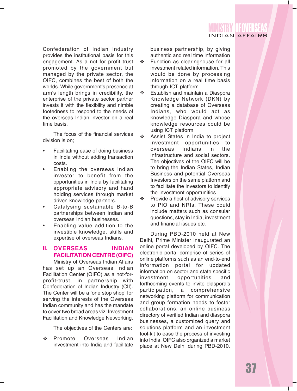Confederation of Indian Industry provides the institutional basis for this engagement. As a not for profit trust promoted by the government but managed by the private sector, the OIFC, combines the best of both the worlds. While government's presence at arm's length brings in credibility, the enterprise of the private sector partner invests it with the flexibility and nimble footedness to respond to the needs of the overseas Indian investor on a real time basis.

The focus of the financial services division is on;

- Facilitating ease of doing business in India without adding transaction costs.
- Enabling the overseas Indian investor to benefit from the opportunities in India by facilitating appropriate advisory and hand holding services through market driven knowledge partners.
- Catalysing sustainable B-to-B partnerships between Indian and overseas Indian businesses.
- Enabling value addition to the investible knowledge, skills and expertise of overseas Indians.

#### **II. OVERSEAS INDIAN FACILITATION CENTRE (OIFC)**

Ministry of Overseas Indian Affairs has set up an Overseas Indian Facilitation Center (OIFC) as a not-forprofit-trust, in partnership with Confederation of Indian Industry (CII). The Center will be a 'one stop shop' for serving the interests of the Overseas Indian community and has the mandate to cover two broad areas viz: Investment Facilitation and Knowledge Networking.

The objectives of the Centers are:

 $-2$  Promote Overseas Indian investment into India and facilitate business partnership, by giving authentic and real time information Function as clearinghouse for all investment related information. This would be done by processing information on a real time basis through ICT platform

 $\frac{1}{2}$ 

MINISTRY OFOVERSEAS INDIAN AFFAIRS

- $\frac{1}{2}$  Establish and maintain a Diaspora Knowledge Network (DKN) by creating a database of Overseas Indians, who would act as knowledge Diaspora and whose knowledge resources could be using ICT platform
- $\frac{1}{2}$  Assist States in India to project investment opportunities to overseas Indians in the infrastructure and social sectors. The objectives of the OIFC will be to bring the Indian States, Indian Business and potential Overseas Investors on the same platform and to facilitate the investors to identify the investment opportunities
- $\frac{1}{2}$  Provide a host of advisory services to PIO and NRIs. These could include matters such as consular questions, stay in India, investment and financial issues etc.

During PBD-2010 held at New Delhi, Prime Minister inaugurated an online portal developed by OIFC. The electronic portal comprise of series of online platforms such as an end-to-end information portal for updated information on sector and state specific investment opportunities and forthcoming events to invite diaspora's participation, a comprehensive networking platform for communication and group formation needs to foster collaborations, an online business directory of verified Indian and diaspora businesses, a customized query and solutions platform and an investment tool-kit to ease the process of investing into India. OIFC also organized a market place at New Delhi during PBD-2010.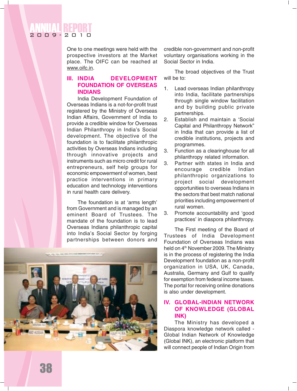One to one meetings were held with the prospective investors at the Market place. The OIFC can be reached at www.oifc.in.

#### **III. INDIA DEVELOPMENT FOUNDATION OF OVERSEAS INDIANS**

India Development Foundation of Overseas Indians is a not-for-profit trust registered by the Ministry of Overseas Indian Affairs, Government of India to provide a credible window for Overseas Indian Philanthropy in India's Social development. The objective of the foundation is to facilitate philanthropic activities by Overseas Indians including through innovative projects and instruments such as micro credit for rural entrepreneurs, self help groups for economic empowerment of women, best practice interventions in primary education and technology interventions in rural health care delivery.

The foundation is at 'arms length' from Government and is managed by an eminent Board of Trustees. The mandate of the foundation is to lead Overseas Indians philanthropic capital into India's Social Sector by forging partnerships between donors and



credible non-government and non-profit voluntary organisations working in the Social Sector in India.

The broad objectives of the Trust will be to:

- 1. Lead overseas Indian philanthropy into India, facilitate partnerships through single window facilitation and by building public private partnerships.
- 2. Establish and maintain a 'Social Capital and Philanthropy Network" in India that can provide a list of credible institutions, projects and programmes.
- 3. Function as a clearinghouse for all philanthropy related information.
- 3. Partner with states in India and encourage credible Indian philanthropic organizations to project social development opportunities to overseas Indians in the sectors that best match national priorities including empowerment of rural women.
- 3. Promote accountability and 'good practices' in diaspora philanthropy.

The First meeting of the Board of Trustees of India Development Foundation of Overseas Indians was held on 4<sup>th</sup> November 2009. The Ministry is in the process of registering the India Development foundation as a non-profit organization in USA, UK, Canada, Australia, Germany and Gulf to qualify for exemption from federal income taxes. The portal for receiving online donations is also under development.

#### **IV. GLOBAL-INDIAN NETWORK OF KNOWLEDGE (GLOBAL INK)**

The Ministry has developed a Diaspora knowledge network called - Global Indian Network of Knowledge (Global INK), an electronic platform that will connect people of Indian Origin from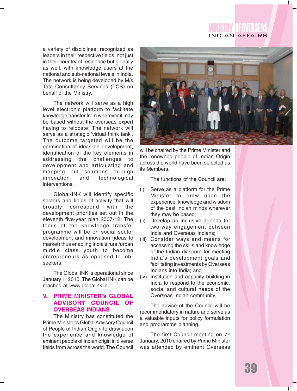

a variety of disciplines, recognized as leaders in their respective fields, not just in their country of residence but globally as well, with knowledge users at the national and sub-national levels in India. The network is being developed by M/s Tata Consultancy Services (TCS) on behalf of the Ministry.

The network will serve as a high level electronic platform to facilitate knowledge transfer from wherever it may be based without the overseas expert having to relocate. The network will serve as a strategic 'virtual think tank'. The outcome targeted will be the germination of ideas on development, identification of the key elements in addressing the challenges to development and articulating and mapping out solutions through innovation and technological interventions.

Global-INK will identify specific sectors and fields of activity that will broadly correspond with the development priorities set out in the eleventh five-year plan 2007-12. The focus of the knowledge transfer programme will be on social sector development and innovation (ideas to market) thus enabling India's rural/urban middle class youth to become entrepreneurs as opposed to jobseekers.

The Global INK is operational since January 1, 2010. The Global INK can be reached at www.globalink.in.

#### **V. PRIME MINISTER's GLOBAL ADVISORY COUNCIL OF OVERSEAS INDIANS**

The Ministry has constituted the Prime Minister's Global Advisory Council of People of Indian Origin to draw upon the experience and knowledge of eminent people of Indian origin in diverse fields from across the world. The Council



will be chaired by the Prime Minister and the renowned people of Indian Origin across the world have been selected as its Members.

The functions of the Council are:

- (i) Serve as a platform for the Prime Minister to draw upon the experience, knowledge and wisdom of the best Indian minds wherever they may be based;
- (ii) Develop an inclusive agenda for two-way engagement between India and Overseas Indians;
- (iii) Consider ways and means for accessing the skills and knowledge of the Indian diaspora for meeting India's development goals and facilitating investments by Overseas Indians into India; and
- (iv) Institution and capacity building in India to respond to the economic, social and cultural needs of the Overseas Indian community.

The advice of the Council will be recommendatory in nature and serve as a valuable inputs for policy formulation and programme planning.

The first Council meeting on 7<sup>th</sup> January, 2010 chaired by Prime Minister was attended by eminent Overseas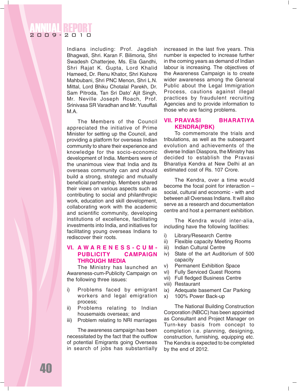Indians including: Prof. Jagdish Bhagwati, Shri. Karan F. Bilimoria, Shri Swadesh Chatterjee, Ms. Ela Gandhi, Shri Rajat K. Gupta, Lord Khalid Hameed, Dr. Renu Khator, Shri Kishore Mahbubani, Shri PNC Menon, Shri L.N. Mittal, Lord Bhiku Chotalal Parekh, Dr. Sam Pitroda, Tan Sri Dato' Ajit Singh, Mr. Neville Joseph Roach, Prof. Srinivasa SR Varadhan and Mr. Yusuffali M.A.

The Members of the Council appreciated the initiative of Prime Minister for setting up the Council, and providing a platform for overseas Indian community to share their experience and knowledge for the socio-economic development of India. Members were of the unanimous view that India and its overseas community can and should build a strong, strategic and mutually beneficial partnership. Members shared their views on various aspects such as contributing to social and philanthropic work, education and skill development, collaborating work with the academic and scientific community, developing institutions of excellence, facilitating investments into India, and initiatives for facilitating young overseas Indians to rediscover their roots.

#### **VI. A W A R E N E S S - C U M - PUBLICITY CAMPAIGN THROUGH MEDIA**

The Ministry has launched an Awareness-cum-Publicity Campaign on the following three issues:

- i) Problems faced by emigrant workers and legal emigration process;
- ii) Problems relating to Indian housemaids overseas; and
- iii) Problem relating to NRI marriages

The awareness campaign has been necessitated by the fact that the outflow of potential Emigrants going Overseas in search of jobs has substantially

increased in the last five years. This number is expected to increase further in the coming years as demand of Indian labour is increasing. The objectives of the Awareness Campaign is to create wider awareness among the General Public about the Legal Immigration Process, cautions against illegal practices by fraudulent recruiting Agencies and to provide information to those who are facing problems.

#### **VII. PRAVASI BHARATIYA KENDRA(PBK)**

To commemorate the trials and tribulations, as well as the subsequent evolution and achievements of the diverse Indian Diaspora, the Ministry has decided to establish the Pravasi Bharatiya Kendra at New Delhi at an estimated cost of Rs. 107 Crore.

The Kendra, over a time would become the focal point for interaction – social, cultural and economic - with and between all Overseas Indians. It will also serve as a research and documentation centre and host a permanent exhibition.

The Kendra would inter-alia, including have the following facilities:

- i) Library/Research Centre
- ii) Flexible capacity Meeting Rooms
- iii) Indian Cultural Centre
- iv) State of the art Auditorium of 500 capacity
- v) Permanent Exhibition Space
- vi) Fully Serviced Guest Rooms
- vii) Full fledged Business Centre
- viii) Restaurant
- ix) Adequate basement Car Parking
- x) 100% Power Back-up

The National Building Construction Corporation (NBCC) has been appointed as Consultant and Project Manager on Turn-key basis from concept to completion i.e. planning, designing, construction, furnishing, equipping etc. The Kendra is expected to be completed by the end of 2012.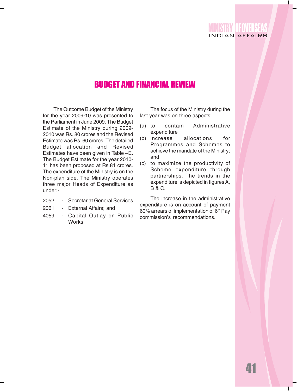

### BUDGET AND FINANCIAL REVIEW

The Outcome Budget of the Ministry for the year 2009-10 was presented to the Parliament in June 2009. The Budget Estimate of the Ministry during 2009- 2010 was Rs. 80 crores and the Revised Estimate was Rs. 60 crores. The detailed Budget allocation and Revised Estimates have been given in Table –E. The Budget Estimate for the year 2010- 11 has been proposed at Rs.81 crores. The expenditure of the Ministry is on the Non-plan side. The Ministry operates three major Heads of Expenditure as under:-

- 2052 Secretariat General Services
- 2061 External Affairs; and
- 4059 Capital Outlay on Public **Works**

The focus of the Ministry during the last year was on three aspects:

- (a) to contain Administrative expenditure
- (b) increase allocations for Programmes and Schemes to achieve the mandate of the Ministry; and
- (c) to maximize the productivity of Scheme expenditure through partnerships. The trends in the expenditure is depicted in figures A, B & C.

The increase in the administrative expenditure is on account of payment  $60\%$  arrears of implementation of  $6<sup>th</sup>$  Pay commission's recommendations.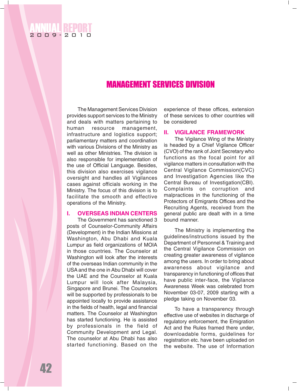### MANAGEMENT SERVICES DIVISION

The Management Services Division provides support services to the Ministry and deals with matters pertaining to human resource management, infrastructure and logistics support; parliamentary matters and coordination with various Divisions of the Ministry as well as other Ministries. The division is also responsible for implementation of the use of Official Language. Besides, this division also exercises vigilance oversight and handles all Vigilances cases against officials working in the Ministry. The focus of this division is to facilitate the smooth and effective operations of the Ministry.

#### **I. OVERSEAS INDIAN CENTERS**

The Government has sanctioned 3 posts of Counselor-Community Affairs (Development) in the Indian Missions at Washington, Abu Dhabi and Kuala Lumpur as field organizations of MOIA in those countries. The Counselor at Washington will look after the interests of the overseas Indian community in the USA and the one in Abu Dhabi will cover the UAE and the Counselor at Kuala Lumpur will look after Malaysia, Singapore and Brunei. The Counselors will be supported by professionals to be appointed locally to provide assistance in the fields of health, legal and financial matters. The Counselor at Washington has started functioning. He is assisted by professionals in the field of Community Development and Legal. The counselor at Abu Dhabi has also started functioning. Based on the

experience of these offices, extension of these services to other countries will be considered

#### **II. VIGILANCE FRAMEWORK**

The Vigilance Wing of the Ministry is headed by a Chief Vigilance Officer (CVO) of the rank of Joint Secretary who functions as the focal point for all vigilance matters in consultation with the Central Vigilance Commission(CVC) and Investigation Agencies like the Central Bureau of Investigation(CBI). Complaints on corruption and malpractices in the functioning of the Protectors of Emigrants Offices and the Recruiting Agents, received from the general public are dealt with in a time bound manner.

The Ministry is implementing the guidelines/instructions issued by the Department of Personnel & Training and the Central Vigilance Commission on creating greater awareness of vigilance among the users. In order to bring about awareness about vigilance and transparency in functioning of offices that have public inter-face, the Vigilance Awareness Week was celebrated from November 03-07, 2009 starting with a pledge taking on November 03.

To have a transparency through effective use of websites in discharge of regulatory enforcement, the Emigration Act and the Rules framed there under, downloadable forms, guidelines for registration etc. have been uploaded on the website. The use of Information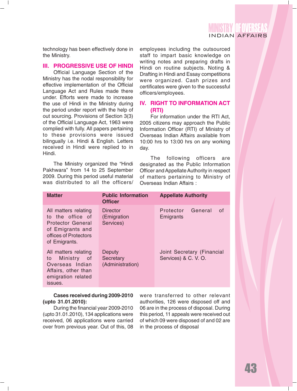MINISTRY OFOVERSEAS INDIAN AFFAIRS

technology has been effectively done in the Ministry.

#### **III. PROGRESSIVE USE OF HINDI**

Official Language Section of the Ministry has the nodal responsibility for effective implementation of the Official Language Act and Rules made there under. Efforts were made to increase the use of Hindi in the Ministry during the period under report with the help of out sourcing. Provisions of Section 3(3) of the Official Language Act, 1963 were complied with fully. All papers pertaining to these provisions were issued bilingually i.e. Hindi & English. Letters received in Hindi were replied to in Hindi.

The Ministry organized the "Hindi Pakhwara" from 14 to 25 September 2009. During this period useful material was distributed to all the officers/ employees including the outsourced staff to impart basic knowledge on writing notes and preparing drafts in Hindi on routine subjects. Noting & Drafting in Hindi and Essay competitions were organized. Cash prizes and certificates were given to the successful officers/employees.

#### **IV. RIGHT TO INFORMATION ACT (RTI)**

For information under the RTI Act, 2005 citizens may approach the Public Information Officer (RTI) of Ministry of Overseas Indian Affairs available from 10:00 hrs to 13:00 hrs on any working day.

The following officers are designated as the Public Information Officer and Appellate Authority in respect of matters pertaining to Ministry of Overseas Indian Affairs :

| <b>Matter</b>                                                                                                                      | <b>Public Information</b><br><b>Officer</b> | <b>Appellate Authority</b>                         |
|------------------------------------------------------------------------------------------------------------------------------------|---------------------------------------------|----------------------------------------------------|
| All matters relating<br>to the office of<br><b>Protector General</b><br>of Emigrants and<br>offices of Protectors<br>of Emigrants. | Director<br>(Emigration<br>Services)        | General<br>0f<br>Protector<br>Emigrants            |
| All matters relating<br>Ministry<br>to<br>of<br>Overseas Indian<br>Affairs, other than<br>emigration related<br>issues.            | Deputy<br>Secretary<br>(Administration)     | Joint Secretary (Financial<br>Services) & C. V. O. |

**Cases received during 2009-2010 (upto 31.01.2010):**

During the financial year 2009-2010 (upto 31.01.2010), 134 applications were received, 06 applications were carried over from previous year. Out of this, 08 were transferred to other relevant authorities, 126 were disposed off and 06 are in the process of disposal. During this period, 11 appeals were received out of which 09 were disposed of and 02 are in the process of disposal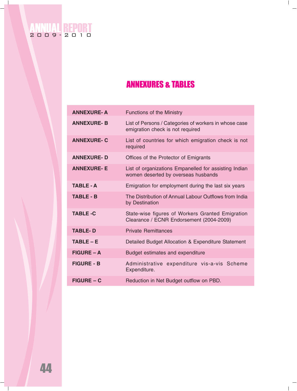# ANNEXURES & TABLES

 $\mathbf{1}$ 

| <b>ANNEXURE-A</b>  | <b>Functions of the Ministry</b>                                                             |  |  |  |  |
|--------------------|----------------------------------------------------------------------------------------------|--|--|--|--|
| <b>ANNEXURE-B</b>  | List of Persons / Categories of workers in whose case<br>emigration check is not required    |  |  |  |  |
| <b>ANNEXURE- C</b> | List of countries for which emigration check is not<br>required                              |  |  |  |  |
| <b>ANNEXURE-D</b>  | Offices of the Protector of Emigrants                                                        |  |  |  |  |
| <b>ANNEXURE- E</b> | List of organizations Empanelled for assisting Indian<br>women deserted by overseas husbands |  |  |  |  |
| <b>TABLE - A</b>   | Emigration for employment during the last six years                                          |  |  |  |  |
| <b>TABLE - B</b>   | The Distribution of Annual Labour Outflows from India<br>by Destination                      |  |  |  |  |
| <b>TABLE-C</b>     | State-wise figures of Workers Granted Emigration<br>Clearance / ECNR Endorsement (2004-2009) |  |  |  |  |
| <b>TABLE-D</b>     | <b>Private Remittances</b>                                                                   |  |  |  |  |
| <b>TABLE-E</b>     | Detailed Budget Allocation & Expenditure Statement                                           |  |  |  |  |
| <b>FIGURE - A</b>  | Budget estimates and expenditure                                                             |  |  |  |  |
| <b>FIGURE - B</b>  | Administrative expenditure vis-a-vis Scheme<br>Expenditure.                                  |  |  |  |  |
| <b>FIGURE – C</b>  | Reduction in Net Budget outflow on PBD.                                                      |  |  |  |  |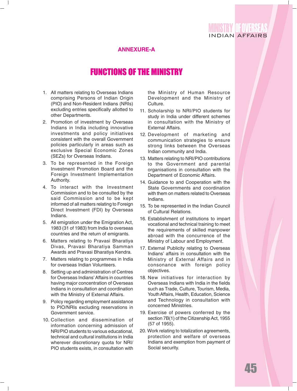

#### **ANNEXURE-A**

### FUNCTIONS OF THE MINISTRY

- 1. All matters relating to Overseas Indians comprising Persons of Indian Origin (PIO) and Non-Resident Indians (NRIs) excluding entries specifically allotted to other Departments.
- 2. Promotion of investment by Overseas Indians in India including innovative investments and policy initiatives consistent with the overall Government policies particularly in areas such as exclusive Special Economic Zones (SEZs) for Overseas Indians.
- 3. To be represented in the Foreign Investment Promotion Board and the Foreign Investment Implementation Authority.
- 4. To interact with the Investment Commission and to be consulted by the said Commission and to be kept informed of all matters relating to Foreign Direct Investment (FDI) by Overseas Indians.
- 5. All emigration under the Emigration Act, 1983 (31 of 1983) from India to overseas countries and the return of emigrants.
- 6. Matters relating to Pravasi Bharatiya Divas, Pravasi Bharatiya Samman Awards and Pravasi Bharatiya Kendra.
- 7. Matters relating to programmes in India for overseas Indian Volunteers.
- 8. Setting up and administration of Centres for Overseas Indians' Affairs in countries having major concentration of Overseas Indians in consultation and coordination with the Ministry of External Affairs.
- 9. Policy regarding employment assistance to PIO/NRIs excluding reservations in Government service.
- 10. Collection and dissemination of information concerning admission of NRI/PIO students to various educational, technical and cultural institutions in India wherever discretionary quota for NRI/ PIO students exists, in consultation with

the Ministry of Human Resource Development and the Ministry of Culture.

- 11. Scholarship to NRI/PIO students for study in India under different schemes in consultation with the Ministry of External Affairs.
- 12. Development of marketing and communication strategies to ensure strong links between the Overseas Indian community and India.
- 13. Matters relating to NRI/PIO contributions to the Government and parental organisations in consultation with the Department of Economic Affairs.
- 14. Guidance to and Cooperation with the State Governments and coordination with them on matters related to Overseas Indians.
- 15. To be represented in the Indian Council of Cultural Relations.
- 16. Establishment of institutions to impart vocational and technical training to meet the requirements of skilled manpower abroad with the concurrence of the Ministry of Labour and Employment.
- 17. External Publicity relating to Overseas Indians' affairs in consultation with the Ministry of External Affairs and in consonance with foreign policy objectives.
- 18. New initiatives for interaction by Overseas Indians with India in the fields such as Trade, Culture, Tourism, Media, Youth Affairs, Health, Education, Science and Technology in consultation with concerned Ministries.
- 19. Exercise of powers conferred by the section 7B(1) of the Citizenship Act, 1955 (57 of 1955).
- 20. Work relating to totalization agreements, protection and welfare of overseas Indians and exemption from payment of Social security.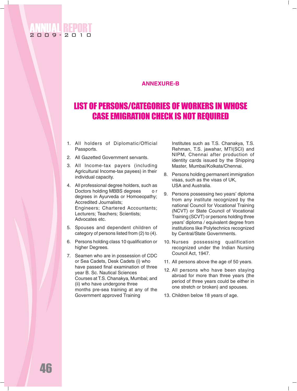#### **ANNEXURE-B**

## LIST OF PERSONS/CATEGORIES OF WORKERS IN WHOSE CASE EMIGRATION CHECK IS NOT REQUIRED

- 1. All holders of Diplomatic/Official Passports.
- 2. All Gazetted Government servants.
- 3. All Income-tax payers (including Agricultural Income-tax payees) in their individual capacity.
- 4. All professional degree holders, such as Doctors holding MBBS degrees or degrees in Ayurveda or Homoeopathy; Accredited Journalists; Engineers; Chartered Accountants; Lecturers; Teachers; Scientists; Advocates etc.
- 5. Spouses and dependent children of category of persons listed from (2) to (4).
- 6. Persons holding class 10 qualification or higher Degrees.
- 7. Seamen who are in possession of CDC or Sea Cadets, Desk Cadets (i) who have passed final examination of three year B. Sc. Nautical Sciences Courses at T.S. Chanakya, Mumbai; and (ii) who have undergone three months pre-sea training at any of the Government approved Training

Institutes such as T.S. Chanakya, T.S. Rehman, T.S. jawahar, MTI(SCI) and NIPM, Chennai after production of identity cards issued by the Shipping Master, Mumbai/Kolkata/Chennai.

- 8. Persons holding permanent immigration visas, such as the visas of UK, USA and Australia.
- 9. Persons possessing two years' diploma from any institute recognized by the national Council for Vocational Training (NCVT) or State Council of Vocational Training (SCVT) or persons holding three years' diploma / equivalent degree from institutions like Polytechnics recognized by Central/State Governments.
- 10. Nurses possessing qualification recognized under the Indian Nursing Council Act, 1947.
- 11. All persons above the age of 50 years.
- 12. All persons who have been staying abroad for more than three years (the period of three years could be either in one stretch or broken) and spouses.
- 13. Children below 18 years of age.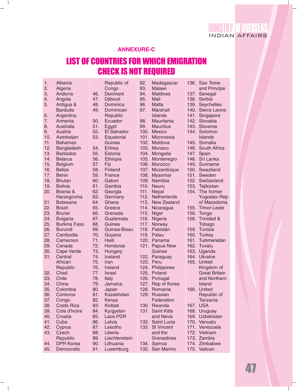### **MINISTRY OF STRY** INDIAN AFFAIRS

#### **ANNEXURE-C**

# LIST OF COUNTRIES FOR WHICH EMIGRATION CHECK IS NOT REQUIRED

| 1.  | Albania             |     | Republic of       |  |
|-----|---------------------|-----|-------------------|--|
| 2.  | Algeria             |     | Congo             |  |
| 3.  | Andorra             | 46. | <b>Denmark</b>    |  |
| 4.  | Angola              | 47. | Djibouti          |  |
| 5.  | Antigua &           | 48. | Dominica          |  |
|     | <b>Barduda</b>      | 49. | Dominican         |  |
| 6.  | Argentina           |     | Republic          |  |
| 7.  | Armenia             | 50. | Ecuador           |  |
| 8.  | Australia           | 51. | Egypt             |  |
| 9.  | Austria             | 52. | El Salvador       |  |
| 10. | Azerbaijan          | 53. | Equatorial        |  |
| 11. | <b>Bahamas</b>      |     | Guinea            |  |
| 12. |                     |     |                   |  |
|     | Bangladesh          | 54. | Eritrea           |  |
| 13. | <b>Barbados</b>     | 55. | Estonia           |  |
| 14. | <b>Belarus</b>      | 56. | Ethiopia          |  |
| 15. | Belgium             | 57. | Fiji              |  |
| 16. | <b>Belize</b>       | 58. | Finland           |  |
| 17. | <b>Benin</b>        | 59. | France            |  |
| 18. | <b>Bhutan</b>       | 60. | Gabon             |  |
| 19. | <b>Bolivia</b>      | 61. | Gambia            |  |
| 20. | Bosnia &            | 62. | Georgia           |  |
|     | Harzegovina         | 63. | Germany           |  |
| 21. | <b>Botswana</b>     | 64. | Ghana             |  |
| 22. | <b>Brazil</b>       | 65. | Greece            |  |
| 23. | Brunei              | 66. | Grenada           |  |
| 24. | <b>Bulgaria</b>     | 67. | Guatemala         |  |
| 25. | <b>Burkina Faso</b> | 68. | Guinea            |  |
| 26. | <b>Burundi</b>      | 69. | Guinea-Bisau      |  |
| 27. | Cambodia            | 70. | Guyana            |  |
| 28. | Cameroon            | 71. | Haiti             |  |
| 29. | Canada              | 72. | Honduras          |  |
| 30. | Cape Verde          | 73. | Hungary           |  |
| 31. | Central             | 74. | Iceland           |  |
|     | African             | 75. | Iran              |  |
|     | Republic            | 76. | Ireland           |  |
| 32. | Chad                | 77. | Israel            |  |
| 33. | Chile               | 78. | Italy             |  |
| 34. | China               | 79. | Jamaica           |  |
| 35. | Colombia            | 80. | Japan             |  |
| 36. | Comoros             | 81. | <b>Kazakhstan</b> |  |
| 37. | Congo               | 82. | Kenya             |  |
| 38. | Costa Rica          | 83. | Kiribati          |  |
| 39. | Cote d'Ivoire       | 84. | Kyrgystan         |  |
| 40. | Croatia             | 85. | Laos.PDR          |  |
| 41. | Cuba                | 86. | Latvia            |  |
| 42. | Cyprus              | 87. | Lesotho           |  |
| 43. | Czech               | 88. | Liberia           |  |
|     | Republic            | 89. | Liechtenstein     |  |
| 44. | <b>DPR Korea</b>    | 90. | Lithuania         |  |
| 45. | Democratic          | 91. | Luxemburg         |  |
|     |                     |     |                   |  |

 $\overline{1}$ 

| 92.          | Madagascar         |
|--------------|--------------------|
| 93.          | Malawi             |
| 94.          | <b>Maldives</b>    |
| 95.          | Mali               |
| 96.          | Malta              |
|              | <b>Marshall</b>    |
| 97.          |                    |
|              | Islands            |
| 98.          | Mauritania         |
| 99.          | <b>Mauritius</b>   |
| 100.         | Mexico             |
| 101.         | Micronesia         |
| 102.         | Moldova            |
| 103.         | Monaco             |
|              |                    |
| 104.         | Mongolia           |
| 105.         | Montenegro         |
| 106.         | Morocco            |
| 107.         | Mozambique         |
| 108.         | <b>Myanmar</b>     |
| 109.         | Namibia            |
| 110.         | Nauru              |
|              |                    |
| 111.         | Nepal              |
| 112.         | Netherlands        |
| 113.         | New Zealand        |
| 114.         | Nicaragua          |
| 115.         | Niger              |
| 116.         | Nigeria            |
| 117.         | Norway             |
| 118.         | Pakistan           |
| 119.         | Palau              |
| 120.         | Panama             |
| 121.         | Papua New          |
|              | Guinea             |
|              |                    |
| 122.         | Paraguay           |
| 123.         | Peru               |
| 124.         | Philippines        |
| 125.         | Poland             |
| 126.         | Portugal           |
| 127.         | Rep of Korea       |
| 128.         | Romania            |
| 129.         | Russian            |
|              | Federation         |
| 130.         | Rwanda             |
|              |                    |
| 131.         | <b>Saint Kitts</b> |
|              | and Nevis          |
| 132.         | <b>Saint Lucia</b> |
| 133.         | <b>St Vincent</b>  |
|              | and the            |
|              | Grenadines         |
|              | Samoa              |
| 134.<br>135. | San Marino         |
|              |                    |

136. Sao Tome and Principe 137. Senegal 138. Serbia 139. Seychelles 140. Sierra Leone 141. Singapore 142. Slovakia 143. Slovenia 144. Solomon Islands 145. Somalia 146. South Africa 147. Spain 148. Sri Lanka 149. Suriname 150. Swaziland 151. Sweden 152. Switzerland 153. Tajikistan 154. The former Yugoslav Rep of Macedonia 155. Timor-Leste 156. Tonga 158. Trinidad & Tobago 159. Tunisia 160. Turkey 161. Turkmenistan 162. Tuvalu 163. Uganda 164. Ukraine 165. United Kingdom of Great Britain and Northern Island 166. United Republic of Tanzania 167. USA 168. Uruguay 169. Uzbekistan 170. Vanuatu 171. Venezuela 172. Vietnam 173. Zambia 174. Zimbabwe 175. Vatican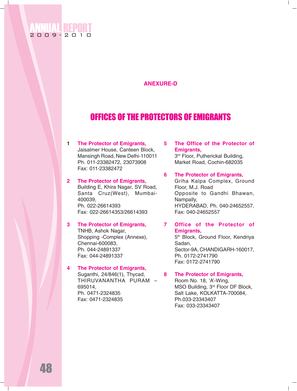#### **ANEXURE-D**

### OFFICES OF THE PROTECTORS OF EMIGRANTS

**1 The Protector of Emigrants,** Jaisalmer House, Canteen Block, Mansingh Road, New Delhi-110011 Ph. 011-23382472, 23073908 Fax: 011-23382472

#### **2 The Protector of Emigrants,**

Building E, Khira Nagar, SV Road, Santa Cruz(West), Mumbai-400039, Ph. 022-26614393 Fax: 022-26614353/26614393

#### **3 The Protector of Emigrants,**

TNHB, Ashok Nagar, Shopping -Complex (Annexe), Chennai-600083, Ph. 044-24891337 Fax: 044-24891337

### **4 The Protector of Emigrants,**

Suganthi, 24/846(1), Thycad, THIRUVANANTHA PURAM – 695014, Ph. 0471-2324835 Fax: 0471-2324835

**5 The Office of the Protector of Emigrants,**

3rd Floor, Putherickal Building, Market Road, Cochin-682035

#### **6 The Protector of Emigrants,**

Griha Kalpa Complex, Ground Floor, M.J. Road Opposite to Gandhi Bhawan, Nampally, HYDERABAD, Ph. 040-24652557, Fax: 040-24652557

#### **7 Office of the Protector of Emigrants,**

5<sup>th</sup> Block, Ground Floor, Kendriya Sadan, Sector-9A, CHANDIGARH-160017, Ph. 0172-2741790 Fax: 0172-2741790

#### **8 The Protector of Emigrants,**

Room No. 18, 'A'-Wing, MSO Building, 3<sup>rd</sup> Floor DF Block, Salt Lake, KOLKATTA-700084, Ph.033-23343407 Fax: 033-23343407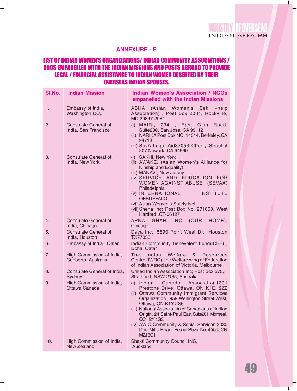

#### **ANNEXURE - E**

 $\mathbb{R}$ 

 $\overline{\phantom{a}}$ 

#### LIST OF INDIAN WOMEN'S ORGANIZATIONS/ INDIAN COMMUNITY ASSOCIATIONS / NGOS EMPANELLED WITH THE INDIAN MISSIONS AND POSTS ABROAD TO PROVIDE LEGAL / FINANCIAL ASSISTANCE TO INDIAN WOMEN DESERTED BY THEIR OVERSEAS INDIAN SPOUSES.

| SI.No. | <b>Indian Mission</b>                               | Indian Women's Association / NGOs<br>empanelled with the Indian Missions                                                                                                                                                                                                                                                                                                                                                                                               |
|--------|-----------------------------------------------------|------------------------------------------------------------------------------------------------------------------------------------------------------------------------------------------------------------------------------------------------------------------------------------------------------------------------------------------------------------------------------------------------------------------------------------------------------------------------|
| 1.     | Embassy of India,<br>Washington DC,.                | ASHA (Asian Women's Self<br>$-help$<br>Association), Post Box 2084, Rockville,<br>MD 20847-2084                                                                                                                                                                                                                                                                                                                                                                        |
| 2.     | <b>Consulate General of</b><br>India, San Francisco | MAIRI, 234, East Gish<br>Road,<br>(i)<br>Suite200, San Jose, CA 95112<br>(ii) NARIKA Post Box NO. 14014, Berkeley, CA<br>94714<br>(iii) SevA Legal Aid37053 Cherry Street #<br>207 Newark, CA 94560                                                                                                                                                                                                                                                                    |
| 3.     | <b>Consulate General of</b><br>India, New York,     | (i) SAKHI, New York<br>(ii) AWAKE, (Asian Women's Alliance for<br>Kinship and Equality)<br>(iii) MANAVI, New Jersey<br>(iv) SERVICE AND EDUCATION FOR<br>WOMEN AGAINST ABUSE (SEVAA)<br>Philadelphia<br><b>INSTITUTE</b><br>(v) INTERNATIONAL<br><b>OFBUFFALO</b><br>(vi) Asian Women's Safety Net<br>(vii) Sneha Inc; Post Box No. 271650, West<br>Hartford ,CT-06127                                                                                                 |
| 4.     | Consulate General of<br>India, Chicago.             | APNA<br><b>GHAR</b><br><b>INC</b><br>(OUR<br>HOME),<br>Chicago                                                                                                                                                                                                                                                                                                                                                                                                         |
| 5.     | <b>Consulate General of</b><br>India, Houston       | Daya Inc., 5890 Point West Dr, Houston<br>TX77036                                                                                                                                                                                                                                                                                                                                                                                                                      |
| 6.     | Embassy of India, Qatar                             | Indian Community Benevolent Fund(ICBF),<br>Doha, Qatar                                                                                                                                                                                                                                                                                                                                                                                                                 |
| 7.     | High Commission of India,<br>Canberra, Australia    | <b>The</b><br>Indian<br>Welfare<br>&<br>Resources<br>Centre (IWRC), the Welfare wing of Federation<br>of Indian Association of Victoria, Melbourne.                                                                                                                                                                                                                                                                                                                    |
| 8.     | Consulate General of India,<br>Sydney.              | United Indian Association Inc; Post Box 575,<br>Strathfied, NSW 2135, Australia                                                                                                                                                                                                                                                                                                                                                                                        |
| 9.     | High Commission of India,<br>Ottawa Canada          | (i) Indian<br>Canada<br>Association1301<br>Prestone Drive, Ottawa, ON K1E, 2Z2<br>(ii) Ottawa Community Immigrant Services<br>Organization, 959 Wellington Street West,<br>Ottawa, ON K1Y 2X5.<br>(iii) National Association of Canadians of Indian<br>Origin, 24 Saint-Paul East, Suite 201. Montreal,<br>QC H <sub>2</sub> Y 1G3.<br>(iv) AWIC Community & Social Services 3030<br>Don Mills Road, Peanut Plaza, Norht York, ON<br>M <sub>2J</sub> 3C <sub>1</sub> . |
| 10.    | High Commission of India,<br><b>New Zealand</b>     | Shakti Community Council INC,<br>Auckland                                                                                                                                                                                                                                                                                                                                                                                                                              |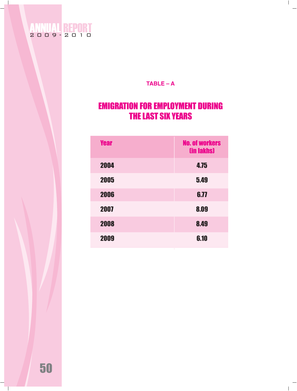### **TABLE – A**

 $\mathbb{R}^n$ 

# EMIGRATION FOR EMPLOYMENT DURING THE LAST SIX YEARS

| <b>Year</b> | <b>No. of workers</b><br><b>(in lakhs)</b> |
|-------------|--------------------------------------------|
| 2004        | 4.75                                       |
| 2005        | 5.49                                       |
| 2006        | 6.77                                       |
| 2007        | 8.09                                       |
| 2008        | 8.49                                       |
| 2009        | 6.10                                       |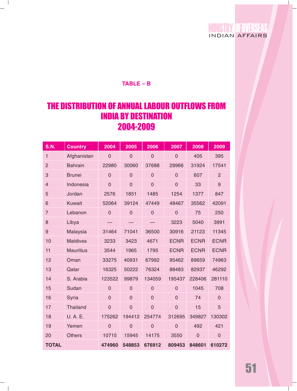

### **TABLE – B**

 $\mathcal{A}$ 

 $\sim 10$ 

# THE DISTRIBUTION OF ANNUAL LABOUR OUTFLOWS FROM INDIA BY DESTINATION 2004-2009

| S.N.             | <b>Country</b>   | 2004           | 2005           | 2006           | 2007           | 2008           | 2009           |
|------------------|------------------|----------------|----------------|----------------|----------------|----------------|----------------|
| $\mathbf{1}$     | Afghanistan      | $\overline{0}$ | $\overline{0}$ | $\overline{0}$ | $\overline{0}$ | 405            | 395            |
| $\overline{2}$   | <b>Bahrain</b>   | 22980          | 30060          | 37688          | 29966          | 31924          | 17541          |
| 3                | <b>Brunei</b>    | $\overline{0}$ | $\overline{0}$ | $\mathbf 0$    | $\mathbf 0$    | 607            | $\overline{2}$ |
| $\overline{4}$   | Indonesia        | $\overline{0}$ | $\overline{0}$ | $\mathbf 0$    | $\overline{0}$ | 33             | 9              |
| 5                | Jordan           | 2576           | 1851           | 1485           | 1254           | 1377           | 847            |
| 6                | <b>Kuwait</b>    | 52064          | 39124          | 47449          | 48467          | 35562          | 42091          |
| $\overline{7}$   | Lebanon          | $\overline{0}$ | $\overline{0}$ | $\overline{0}$ | $\overline{0}$ | 75             | 250            |
| 8                | Libya            |                |                |                | 3223           | 5040           | 3991           |
| $\boldsymbol{9}$ | Malaysia         | 31464          | 71041          | 36500          | 30916          | 21123          | 11345          |
| 10               | <b>Maldives</b>  | 3233           | 3423           | 4671           | <b>ECNR</b>    | <b>ECNR</b>    | <b>ECNR</b>    |
| 11               | <b>Mauritius</b> | 3544           | 1965           | 1795           | <b>ECNR</b>    | <b>ECNR</b>    | <b>ECNR</b>    |
| 12               | Oman             | 33275          | 40931          | 67992          | 95462          | 89659          | 74963          |
| 13               | Qatar            | 16325          | 50222          | 76324          | 88483          | 82937          | 46292          |
| 14               | S. Arabia        | 123522         | 99879          | 134059         | 195437         | 228406         | 281110         |
| 15               | Sudan            | $\overline{0}$ | $\overline{0}$ | $\mathbf 0$    | $\overline{0}$ | 1045           | 708            |
| 16               | Syria            | $\overline{0}$ | $\overline{0}$ | $\overline{0}$ | $\overline{0}$ | 74             | $\overline{0}$ |
| 17               | <b>Thailand</b>  | $\overline{0}$ | $\overline{O}$ | $\overline{0}$ | $\overline{0}$ | 15             | 5              |
| 18               | U.A.E.           | 175262         | 194412         | 254774         | 312695         | 349827         | 130302         |
| 19               | Yemen            | $\overline{0}$ | $\overline{0}$ | $\overline{0}$ | $\overline{0}$ | 492            | 421            |
| 20               | <b>Others</b>    | 10715          | 15945          | 14175          | 3550           | $\overline{0}$ | $\mathbf 0$    |
| <b>TOTAL</b>     |                  | 474960         | 548853         | 676912         | 809453         | 848601         | 610272         |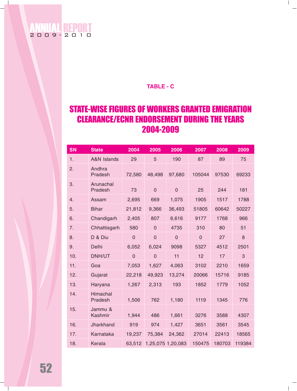### **TABLE - C**

 $\mathbb{L}$ 

# STATE-WISE FIGURES OF WORKERS GRANTED EMIGRATION CLEARANCE/ECNR ENDORSEMENT DURING THE YEARS 2004-2009

| <b>SN</b> | <b>State</b>           | 2004           | 2005           | 2006              | 2007        | 2008   | 2009   |
|-----------|------------------------|----------------|----------------|-------------------|-------------|--------|--------|
| 1.        | <b>A&amp;N Islands</b> | 29             | 5              | 190               | 87          | 89     | 75     |
| 2.        | Andhra<br>Pradesh      | 72,580         | 48,498         | 97,680            | 105044      | 97530  | 69233  |
| 3.        | Arunachal<br>Pradesh   | 73             | $\overline{0}$ | $\mathbf 0$       | 25          | 244    | 181    |
| 4.        | Assam                  | 2,695          | 669            | 1,075             | 1905        | 1517   | 1788   |
| 5.        | <b>Bihar</b>           | 21,812         | 9,366          | 36,493            | 51805       | 60642  | 50227  |
| 6.        | Chandigarh             | 2,405          | 807            | 6,616             | 9177        | 1768   | 966    |
| 7.        | Chhattisgarh           | 580            | $\overline{0}$ | 4735              | 310         | 80     | 51     |
| 8.        | D & Diu                | $\mathbf 0$    | $\overline{0}$ | $\mathbf 0$       | $\mathbf 0$ | 27     | 8      |
| 9.        | Delhi                  | 6,052          | 6,024          | 9098              | 5327        | 4512   | 2501   |
| 10.       | DNH/UT                 | $\overline{0}$ | $\overline{0}$ | 11                | 12          | 17     | 3      |
| 11.       | Goa                    | 7,053          | 1,627          | 4,063             | 3102        | 2210   | 1659   |
| 12.       | Gujarat                | 22,218         | 49,923         | 13,274            | 20066       | 15716  | 9185   |
| 13.       | Haryana                | 1,267          | 2,313          | 193               | 1852        | 1779   | 1052   |
| 14.       | Himachal<br>Pradesh    | 1,506          | 762            | 1,180             | 1119        | 1345   | 776    |
| 15.       | Jammu &<br>Kashmir     | 1,944          | 486            | 1,661             | 3276        | 3588   | 4307   |
| 16.       | Jharkhand              | 919            | 974            | 1,427             | 3651        | 3561   | 3545   |
| 17.       | Karnataka              | 19,237         | 75,384         | 24,362            | 27014       | 22413  | 18565  |
| 18.       | Kerala                 | 63,512         |                | 1,25,075 1,20,083 | 150475      | 180703 | 119384 |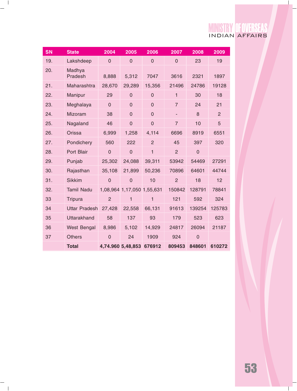### MINISTRY OFOVERSEAS INDIAN AFFAIRS

| <b>SN</b> | <b>State</b>         | 2004           | 2005                       | 2006           | 2007           | 2008           | 2009           |
|-----------|----------------------|----------------|----------------------------|----------------|----------------|----------------|----------------|
| 19.       | Lakshdeep            | $\mathbf 0$    | $\overline{0}$             | $\overline{0}$ | $\overline{0}$ | 23             | 19             |
| 20.       | Madhya<br>Pradesh    | 8,888          | 5,312                      | 7047           | 3616           | 2321           | 1897           |
| 21.       | Maharashtra          | 28,670         | 29,289                     | 15,356         | 21496          | 24786          | 19128          |
| 22.       | Manipur              | 29             | $\overline{0}$             | $\overline{0}$ | $\mathbf{1}$   | 30             | 18             |
| 23.       | Meghalaya            | $\overline{0}$ | $\overline{0}$             | $\overline{0}$ | $\overline{7}$ | 24             | 21             |
| 24.       | Mizoram              | 38             | $\overline{0}$             | $\overline{0}$ |                | 8              | $\overline{2}$ |
| 25.       | Nagaland             | 46             | $\overline{0}$             | $\overline{0}$ | $\overline{7}$ | 10             | 5              |
| 26.       | <b>Orissa</b>        | 6,999          | 1,258                      | 4,114          | 6696           | 8919           | 6551           |
| 27.       | Pondichery           | 560            | 222                        | $\overline{2}$ | 45             | 397            | 320            |
| 28.       | Port Blair           | $\mathbf 0$    | $\overline{0}$             | $\mathbf{1}$   | $\overline{2}$ | $\overline{0}$ |                |
| 29.       | Punjab               | 25,302         | 24,088                     | 39,311         | 53942          | 54469          | 27291          |
| 30.       | Rajasthan            | 35,108         | 21,899                     | 50,236         | 70896          | 64601          | 44744          |
| 31.       | <b>Sikkim</b>        | $\overline{0}$ | $\overline{0}$             | 10             | $\overline{2}$ | 18             | 12             |
| 32.       | <b>Tamil Nadu</b>    |                | 1,08,964 1,17,050 1,55,631 |                | 150842         | 128791         | 78841          |
| 33        | <b>Tripura</b>       | $\overline{2}$ | 1                          | 1              | 121            | 592            | 324            |
| 34        | <b>Uttar Pradesh</b> | 27,428         | 22,558                     | 66,131         | 91613          | 139254         | 125783         |
| 35        | Uttarakhand          | 58             | 137                        | 93             | 179            | 523            | 623            |
| 36        | West Bengal          | 8,986          | 5,102                      | 14,929         | 24817          | 26094          | 21187          |
| 37        | <b>Others</b>        | $\overline{0}$ | 24                         | 1909           | 924            | $\overline{0}$ |                |
|           | <b>Total</b>         |                | 4,74.960 5,48,853 676912   |                | 809453         | 848601         | 610272         |

 $\mathcal{A}$ 

 $\overline{\phantom{a}}$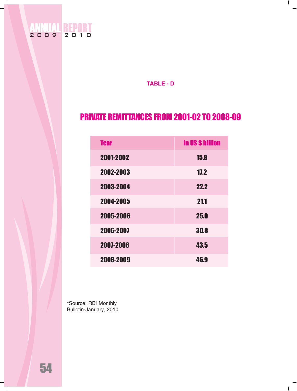**TABLE - D**

 $\mathbf{L}$ 

# PRIVATE REMITTANCES FROM 2001-02 TO 2008-09

| <b>Year</b> | <b>In US \$ billion</b> |
|-------------|-------------------------|
| 2001-2002   | 15.8                    |
| 2002-2003   | 17.2                    |
| 2003-2004   | 22.2                    |
| 2004-2005   | 21.1                    |
| 2005-2006   | 25.0                    |
| 2006-2007   | 30.8                    |
| 2007-2008   | 43.5                    |
| 2008-2009   | 46.9                    |

\*Source: RBI Monthly Bulletin-January, 2010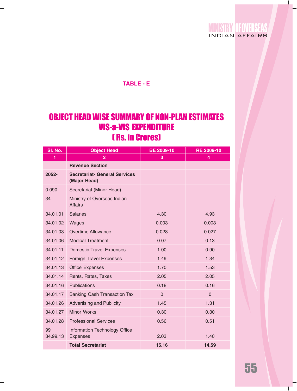

### **TABLE - E**

 $\mathbb{R}$ 

 $\sim 1$ 

# OBJECT HEAD WISE SUMMARY OF NON-PLAN ESTIMATES VIS-a-VIS EXPENDITURE ( Rs. in Crores)

| SI. No.        | <b>Object Head</b>                                   | <b>BE 2009-10</b> | RE 2009-10 |
|----------------|------------------------------------------------------|-------------------|------------|
| 1              | $\overline{2}$                                       | 3                 | 4          |
|                | <b>Revenue Section</b>                               |                   |            |
| $2052 -$       | <b>Secretariat- General Services</b><br>(Major Head) |                   |            |
| 0.090          | Secretariat (Minor Head)                             |                   |            |
| 34             | Ministry of Overseas Indian<br><b>Affairs</b>        |                   |            |
| 34.01.01       | <b>Salaries</b>                                      | 4.30              | 4.93       |
| 34.01.02       | Wages                                                | 0.003             | 0.003      |
| 34.01.03       | <b>Overtime Allowance</b>                            | 0.028             | 0.027      |
| 34.01.06       | <b>Medical Treatment</b>                             | 0.07              | 0.13       |
| 34.01.11       | <b>Domestic Travel Expenses</b>                      | 1.00              | 0.90       |
| 34.01.12       | <b>Foreign Travel Expenses</b>                       | 1.49              | 1.34       |
| 34.01.13       | <b>Office Expenses</b>                               | 1.70              | 1.53       |
| 34.01.14       | Rents, Rates, Taxes                                  | 2.05              | 2.05       |
| 34.01.16       | <b>Publications</b>                                  | 0.18              | 0.16       |
| 34.01.17       | <b>Banking Cash Transaction Tax</b>                  | $\Omega$          | $\Omega$   |
| 34.01.26       | <b>Advertising and Publicity</b>                     | 1.45              | 1.31       |
| 34.01.27       | <b>Minor Works</b>                                   | 0.30              | 0.30       |
| 34.01.28       | <b>Professional Services</b>                         | 0.56              | 0.51       |
| 99<br>34.99.13 | Information Technology Office<br><b>Expenses</b>     | 2.03              | 1.40       |
|                | <b>Total Secretariat</b>                             | 15.16             | 14.59      |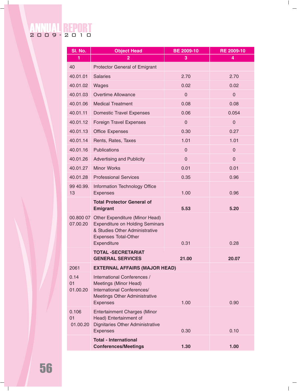| SI. No.                 | <b>Object Head</b>                                                                                                                                       | <b>BE 2009-10</b> | RE 2009-10  |
|-------------------------|----------------------------------------------------------------------------------------------------------------------------------------------------------|-------------------|-------------|
| 1                       | 2                                                                                                                                                        | 3                 | 4           |
| 40                      | <b>Protector General of Emigrant</b>                                                                                                                     |                   |             |
| 40.01.01                | <b>Salaries</b>                                                                                                                                          | 2.70              | 2.70        |
| 40.01.02                | Wages                                                                                                                                                    | 0.02              | 0.02        |
| 40.01.03                | <b>Overtime Allowance</b>                                                                                                                                | 0                 | $\mathbf 0$ |
| 40.01.06                | <b>Medical Treatment</b>                                                                                                                                 | 0.08              | 0.08        |
| 40.01.11                | <b>Domestic Travel Expenses</b>                                                                                                                          | 0.06              | 0.054       |
| 40.01.12                | <b>Foreign Travel Expenses</b>                                                                                                                           | $\overline{0}$    | $\mathbf 0$ |
| 40.01.13                | <b>Office Expenses</b>                                                                                                                                   | 0.30              | 0.27        |
| 40.01.14                | Rents, Rates, Taxes                                                                                                                                      | 1.01              | 1.01        |
| 40.01.16                | Publications                                                                                                                                             | $\mathbf 0$       | $\mathbf 0$ |
| 40.01.26                | <b>Advertising and Publicity</b>                                                                                                                         | $\overline{0}$    | $\mathbf 0$ |
| 40.01.27                | <b>Minor Works</b>                                                                                                                                       | 0.01              | 0.01        |
| 40.01.28                | <b>Professional Services</b>                                                                                                                             | 0.35              | 0.96        |
| 99 40.99.<br>13         | Information Technology Office<br><b>Expenses</b>                                                                                                         | 1.00              | 0.96        |
|                         | <b>Total Protector General of</b><br><b>Emigrant</b>                                                                                                     | 5.53              | 5.20        |
| 00.800 07<br>07.00.20   | Other Expenditure (Minor Head)<br><b>Expenditure on Holding Seminars</b><br>& Studies Other Administrative<br><b>Expenses Total-Other</b><br>Expenditure | 0.31              | 0.28        |
|                         | <b>TOTAL -SECRETARIAT</b><br><b>GENERAL SERVICES</b>                                                                                                     | 21.00             | 20.07       |
| 2061                    | <b>EXTERNAL AFFAIRS (MAJOR HEAD)</b>                                                                                                                     |                   |             |
| 0.14<br>01<br>01.00.20  | International Conferences /<br>Meetings (Minor Head)<br>International Conferences/<br><b>Meetings Other Administrative</b><br><b>Expenses</b>            | 1.00              | 0.90        |
| 0.106<br>01<br>01.00.20 | <b>Entertainment Charges (Minor</b><br>Head) Entertainment of<br>Dignitaries Other Administrative<br><b>Expenses</b>                                     | 0.30              | 0.10        |
|                         | <b>Total - International</b><br><b>Conferences/Meetings</b>                                                                                              | 1.30              | 1.00        |

 $\mathbb{L}$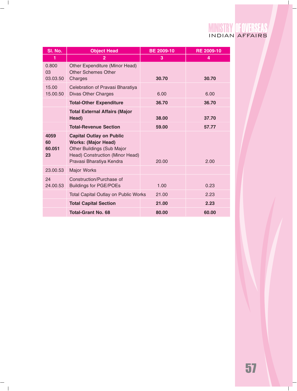### MINISTRY OFOVERSEAS INDIAN AFFAIRS

| SI. No.                    | <b>Object Head</b>                                                                                                                                         | <b>BE 2009-10</b> | RE 2009-10 |
|----------------------------|------------------------------------------------------------------------------------------------------------------------------------------------------------|-------------------|------------|
| 1                          | $\overline{2}$                                                                                                                                             | 3                 | 4          |
| 0.800<br>03<br>03.03.50    | Other Expenditure (Minor Head)<br><b>Other Schemes Other</b><br>Charges                                                                                    | 30.70             | 30.70      |
| 15.00<br>15.00.50          | Celebration of Pravasi Bharatiya<br><b>Divas Other Charges</b>                                                                                             | 6.00              | 6.00       |
|                            | <b>Total-Other Expenditure</b>                                                                                                                             | 36.70             | 36.70      |
|                            | <b>Total External Affairs (Major</b><br>Head)                                                                                                              | 38.00             | 37.70      |
|                            | <b>Total-Revenue Section</b>                                                                                                                               | 59.00             | 57.77      |
| 4059<br>60<br>60.051<br>23 | <b>Capital Outlay on Public</b><br><b>Works: (Major Head)</b><br>Other Buildings (Sub Major<br>Head) Construction (Minor Head)<br>Pravasi Bharatiya Kendra | 20.00             | 2.00       |
| 23.00.53                   | Major Works                                                                                                                                                |                   |            |
| 24<br>24.00.53             | Construction/Purchase of<br><b>Buildings for PGE/POEs</b>                                                                                                  | 1.00              | 0.23       |
|                            | <b>Total Capital Outlay on Public Works</b>                                                                                                                | 21.00             | 2.23       |
|                            | <b>Total Capital Section</b>                                                                                                                               | 21.00             | 2.23       |
|                            | <b>Total-Grant No. 68</b>                                                                                                                                  | 80.00             | 60.00      |

 $\mathbf{L}$ 

 $\overline{\phantom{a}}$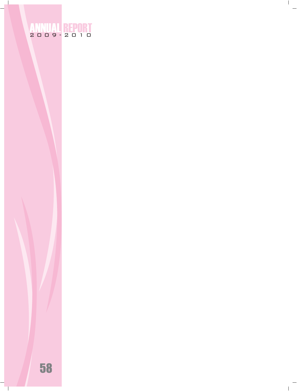$\mathbf{L}$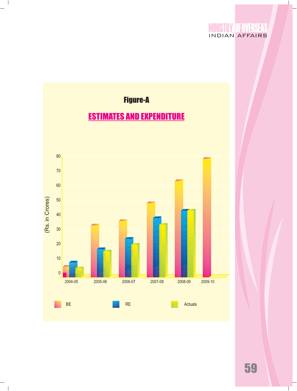



 $\overline{\phantom{a}}$ 

 $\overline{\phantom{a}}$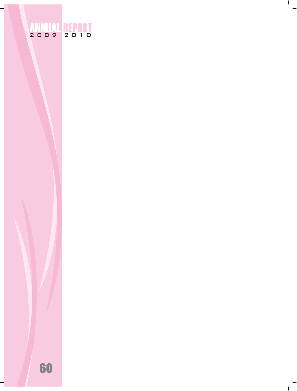$\mathbf{L}$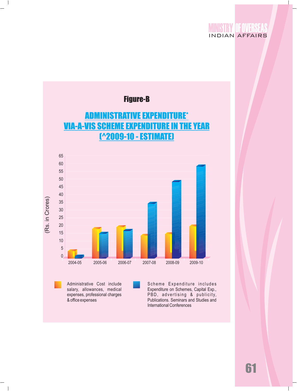



 $\overline{\phantom{a}}$ 

 $\overline{\phantom{a}}$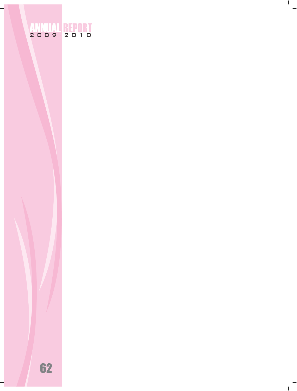$\mathbf{L}$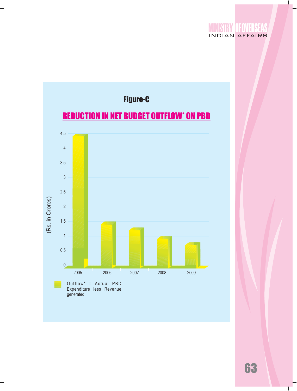



 $\overline{\phantom{a}}$ 

 $\sim$  1